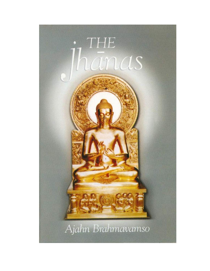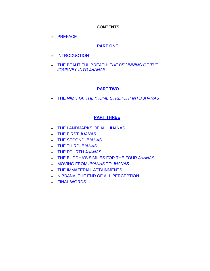## **CONTENTS**

• PREFACE

## **[PART ONE](file:///D:\Dhammatalks.net\Books\Ajahn_Brahm_The_Jhanas2.htm%23PART_ONE)**

- **INTRODUCTION**
- THE BEAUTIFUL BREATH: *THE BEGINNING OF THE JOURNEY INTO JHANAS*

## **[PART TWO](file:///D:\Dhammatalks.net\Books\Ajahn_Brahm_The_Jhanas2.htm%23PART_TWO)**

THE *NIMITTA: THE "HOME STRETCH" INTO JHANAS*

## **[PART THREE](file:///D:\Dhammatalks.net\Books\Ajahn_Brahm_The_Jhanas2.htm%23PART_THREE)**

- THE LANDMARKS OF ALL JHANAS
- THE FIRST *JHANAS*
- THE SECOND *JHANAS*
- THE THIRD *JHANAS*
- THE FOURTH *JHANAS*
- THE BUDDHA'S SIMILES FOR THE FOUR *JHANAS*
- MOVING FROM *JHANAS* TO *JHANAS*
- THE IMMATERIAL ATTAINMENTS
- . NIBBANA, THE END OF ALL PERCEPTION
- FINAL WORDS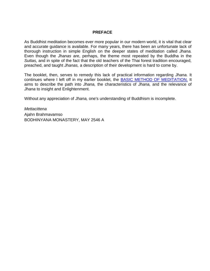## **PREFACE**

As Buddhist meditation becomes ever more popular in our modern world, it is vital that clear and accurate guidance is available. For many years, there has been an unfortunate lack of thorough instruction in simple English on the deeper states of meditation called *Jhana.*  Even though the *Jhanas* are, perhaps, the theme most repeated by the Buddha in the *Suttas,* and in spite of the fact that the old teachers of the Thai forest tradition encouraged, preached, and taught *Jhanas,* a description of their development is hard to come by.

The booklet, then, serves to remedy this lack of practical information regarding *Jhana.* It continues where I left off in my earlier booklet, the [BASIC METHOD OF MEDITATION.](file:///D:\Dhammatalks.net\Books\Ajahn_Brahm_Basic_Method_of_Meditation.htm) It aims to describe the path into *Jhana,* the characteristics of *Jhana,* and the relevance of *Jhana* to insight and Enlightenment.

Without any appreciation of *Jhana,* one's understanding of Buddhism is incomplete.

*Mettacittena* Ajahn Brahmavamso BODHINYANA MONASTERY, MAY 2546 A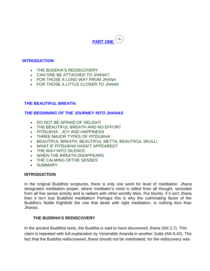

## **INTRODUCTION**

- THE BUDDHA'S REDISCOVERY
- CAN ONE BE ATTACHED TO *JHANA?*
- FOR THOSE A LONG WAY FROM *JHANA*
- FOR THOSE A LITTLE CLOSER TO *JHANA*

## **THE BEAUTIFUL BREATH:**

## *THE BEGINNING OF THE JOURNEY INTO JHANAS*

- DO NOT BE AFRAID OF DELIGHT
- THE BEAUTIFUL BREATH AND NO EFFORT
- *PlTlSUKHA - JOY* AND HAPPINESS
- THREE MAJOR TYPES OF *PlTlSUKHA*
- BEAUTIFUL BREATH, BEAUTIFUL *METTA,* BEAUTIFUL SKULL!
- WHAT IF *PlTlSUKHA* HASN'T APPEARED?
- THE WAY INTO SILENCE
- WHEN THE BREATH DISAPPEARS
- THE CALMING OFTHE SENSES
- SUMMARY

## **INTRODUCTION**

In the original Buddhist scriptures, there is only one word for level of meditation. *Jhana*  designates meditation proper, where meditator's mind is stilled from all thought, secluded from all five sense activity and is radiant with other-worldly bliss. Put bluntly, if it isn't Jhana then it isn't true Buddhist meditation! Perhaps this is why the culminating factor of the Buddha's Noble Eightfold the one that deals with right meditation, is nothing less than *Jhanas.*

## **THE BUDDHA'S REDISCOVERY**

In the ancient Buddhist texts, the Buddha is said to have discovered *Jhana* (SN 2,7). This claim is repeated with full explanation by Venerable Ananda in another *Sutta* (AN 9,42). The fact that the Buddha rediscovered *Jhana* should not be overlooked, for the rediscovery was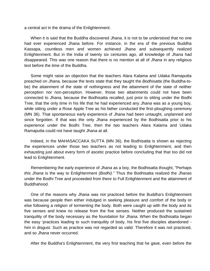a central act in the drama of the Enlightenment.

When it is said that the Buddha discovered *Jhana,* it is not to be understood that no one had ever experienced Jhana before. For instance, in the era of the previous Buddha Kassapa, countless men and women achieved *Jhana* and subsequently realized Enlightenment. But in the India of twenty six centuries ago, all knowledge of *Jhana* had disappeared. This was one reason that there is no mention at all of *Jhana* in any religious text before the time of the Buddha.

Some might raise an objection that the teachers Alara Kalama and Udaka Ramaputta preached on *Jhana,* because the texts state that they taught the *Bodhisatta* (the Buddha-tobe) the attainment of the state of nothingness and the attainment of the state of neither perception nor non-perception. However, those two attainments could not have been connected to *Jhana,* because the Bodhisatta recalled, just prior to sitting under the Bodhi Tree, that the only time in his life that he had experienced any *Jhana* was as a young boy, while sitting under a Rose Apple Tree as his father conducted the first-ploughing ceremony (MN 36). That spontaneous early experience of *Jhana* had been untaught, unplanned and since forgotten. If that was the only *Jhana* experienced by the Bodhisatta prior to his experience under the Bodhi Tree, then the two teachers Alara Kalama and Udaka Ramaputta could not have taught *Jhana* at all.

Indeed, in the MAHASACCAKA SUTTA (MN 36), the Bodhisatta is shown as rejecting the experiences under those two teachers as not leading to Enlightenment, and then exhausting just about every form of ascetic practice before concluding that that too did not lead to Enlightenment.

Remembering the early experience of *Jhana* as a boy, the Bodhisatta thought, "Perhaps *this Jhana* is the way to Enlightenment *(Bodhi)."* Thus the Bodhisatta realized the *Jhanas*  under the Bodhi Tree and proceeded from there to Full Enlightenment and the attainment of Buddhahood.

One of the reasons why *Jhana* was not practiced before the Buddha's Enlightenment was because people then either indulged in seeking pleasure and comfort of the body or else following a religion of tormenting the body. Both were caught up with the body and its five senses and knew no release from the five senses. Neither produced the sustained tranquility of the body necessary as the foundation for *Jhana.* When the Bodhisatta began the easy 'practices leading to such tranquility of body, his first five disciples abandoned him in disgust. Such as practice was not regarded as valid. Therefore it was not practiced, and so *Jhana* never occurred.

After the Buddha's Enlightenment, the very first teaching that he gave, even before the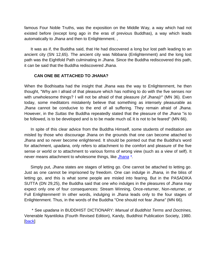famous Four Noble Truths, was the exposition on the Middle Way, a way which had not existed before (except long ago in the eras of previous Buddhas), a way which leads automatically to *Jhana* and then to Enlightenment. ,

It was as if, the Buddha said, that He had discovered a long bur lost path leading to an ancient city (SN 12,65). The ancient city was Nibbana (Enlightenment) and the long lost path was the Eightfold Path culminating in *Jhana.* Since the Buddha rediscovered this path, it can be said that the Buddha rediscovered *Jhana.*

## **CAN ONE BE ATTACHED TO JHANA?**

When the Bodhisatta had the insight that *Jhana* was the way to Enlightenment, he then thought, "Why am I afraid of that pleasure which has nothing to do with the five senses nor with unwholesome things? I will not be afraid of that pleasure *{of Jhana)!"* (MN 36). Even today, some meditators mistakenly believe that something as intensely pleasurable as *Jhana* cannot be conducive to the end of all suffering. They remain afraid of *Jhana.*  However, in the *Suttas* the Buddha repeatedly stated that the pleasure of the *Jhana* "is to be followed, is to be developed and is to be made much o£ It is not to be feared" (MN 66).

In spite of this clear advice from the Buddha Himself, some students of meditation are misled by those who discourage Jhana on the grounds that one can become attached to *Jhana* and so never become enlightened. It should be pointed out that the Buddha's word for attachment, *upadana,* only refers to attachment to the comfort and pleasure of the five sense or world or to attachment to various forms of wrong view (such as a view of self). It never means attachment to wholesome things, like *[Jhana](file:///D:\Dhammatalks.net\Books\Ajahn_Brahm_The_Jhanas2.htm%23See_Jhana) [\\*.](file:///D:\Dhammatalks.net\Books\Ajahn_Brahm_The_Jhanas2.htm%23See_Jhana)*

Simply put, *Jhana* states are stages of letting go. One cannot be attached to letting go. Just as one cannot be imprisoned by freedom. One can indulge in *Jhana,* in the bliss of letting go, and this is what some people are misled into fearing. But in the PASADIKA SUTTA (DN 29,25), the Buddha said that one who indulges in the pleasures of *Jhana* may expect only one of four consequences: Stream Winning, Once-returner, Non-returner, or Full Enlightenment! In other words, indulging in *Jhana* leads only to the four stages of Enlightenment. Thus, in the words of the Buddha "One should not fear *Jhana"* (MN 66).

\* See *upadana* in BUDDHIST DICTIONARY: *Manual* of *Buddhist Terms and Doctrines,*  Venerable Nyantiloka (Fourth Revised Edition), Kandy, Buddhist Publication Society, 1980. [\[back\]](file:///D:\Dhammatalks.net\Books\Ajahn_Brahm_The_Jhanas2.htm%23Jhana)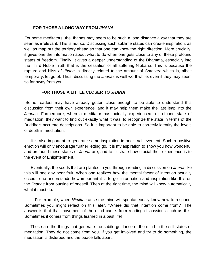## **FOR THOSE A LONG WAY FROM** *JHANA*

For some meditators, the Jhanas may seem to be such a long distance away that they are seen as irrelevant. This is not so. Discussing such sublime states can create inspiration, as well as map out the territory ahead so that one can know the right direction. More crucially, it gives one the information about what to do when one gets close to any of these profound states of freedom. Finally, it gives a deeper understanding of the Dhamma, especially into the Third Noble Truth that is the cessation of all suffering-Nibbana. This is because the rapture and bliss *of Jhana* is directly related to the amount of *Samsara* which is, albeit temporary, let go of. Thus, discussing the *Jhanas* is well worthwhile, even if they may seem so far away from you.

## **FOR THOSE A LITTLE CLOSER TO** *JHANA*

Some readers may have already gotten close enough to be able to understand this discussion from their own experience, and it may help them make the last leap into the *Jhanas.* Furthermore, when a meditator has actually experienced a profound state of meditation, they want to find out exactly what it was, to recognize the state in terms of the Buddha's accurate descriptions. So it is important to be able to correctly identify the levels of depth in meditation.

It is also important to generate some inspiration in one's achievement. Such a positive emotion will only encourage further letting go. It is my aspiration to show you how wonderful and profound these states of *Jhana* are, and to illustrate how crucial their experience is to the event of Enlightenment.

Eventually, the seeds that are planted in you through reading' a discussion on *Jhana* like this will one day bear fruit. When one realizes how the mental factor of intention actually occurs, one understands how important it is to get information and inspiration like this on the *Jhanas* from outside of oneself. Then at the right time, the mind will know automatically what it must do.

For example, when *Nimittas* arise the mind will spontaneously know how to respond. Sometimes you might reflect on this later, "Where did that intention come from?" The answer is that that movement of the mind came. from reading discussions such as this: Sometimes it comes from things learned in a past life!

These are the things that generate the subtle guidance of the mind in the still states of meditation. They do not come from you. If you get involved and try to do something, the meditation is disturbed and the peace falls apart.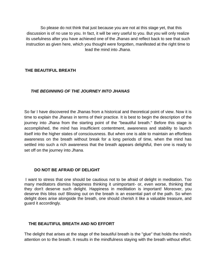So please do not think that just because you are not at this stage yet, that this discussion is of no use to you. In fact, it will be very useful to you. But you will only realize its usefulness after you have achieved one of the *Jhanas* and reflect back to see that such instruction as given here, which you thought were forgotten, manifested at the right time to lead the mind into *Jhana.*

## **THE BEAUTIFUL BREATH**

## *THE BEGINNING OF THE JOURNEY INTO JHANAS*

So far I have discovered the Jhanas from a historical and theoretical point of view. Now it is time to explain the *Jhanas* in terms of their practice. It is best to begin the description of the journey into *Jhana* from the starting point of the "beautiful breath." Before this stage is accomplished, the mind has insufficient contentment, awareness and stability to launch itself into the higher states of consciousness. But when one is able to maintain an effortless awareness on the breath without break for a long periods of time, when the mind has settled into such a rich awareness that the breath appears delightful, then one is ready to set off on the journey into *Jhana.*

## **DO NOT BE AFRAID OF DELIGHT**

I want to stress that one should be cautious not to be afraid of delight in meditation. Too many meditators dismiss happiness thinking it unimportant- or, even worse, thinking that they don't deserve such delight. Happiness in meditation is important! Moreover, you deserve this bliss out! Blissing out on the breath is an essential part of the path. So when delight does arise alongside the breath, one should cherish it like a valuable treasure, and guard it accordingly.

## **THE BEAUTIFUL BREATH AND NO EFFORT**

The delight that arises at the stage of the beautiful breath is the "glue" that holds the mind's attention on to the breath. It results in the mindfulness staying with the breath without effort.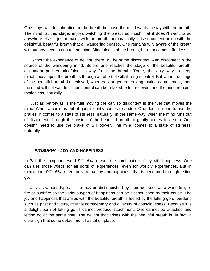One stays with full attention on the breath because the mind wants to stay with the breath. The mind, at this stage, enjoys watching the breath so much that it doesn't want to go anywhere else. It just remains with the breath, automatically. It is so content being with the delightful, beautiful breath that all wandering ceases. One remains fully aware of the breath without any need to control the mind. Mindfulness of the breath, here, becomes effortless.

Without the experience of delight, there will be some discontent. And discontent is the source of the wandering mind. Before one reaches the stage of the beautiful breath, discontent pushes mindfulness away from the breath. There, the only way to keep mindfulness upon the breath is through an effort of will, through control. But when the stage of the beautiful breath is achieved, when delight generates long lasting contentment, then the mind will not wander. Then control can be relaxed, effort relieved, and the mind remains motionless, naturally.

Just as petrol/gas is the fuel moving the car, so discontent is the fuel that moves the mind. When a car runs out of gas, it gently comes to a stop. One doesn't need to use the brakes. It comes to a state of stillness, naturally. In the same way, when the mind runs out of discontent, through the arising of the beautiful breath, it gently comes to a stop. One doesn't need to use the brake of will power. The mind comes to a state of stillness, naturally.

### *PITISUKHA -* **JOY AND HAPPINESS**

In Pali, the compound word *Pitisukha* means the combination of joy with happiness. One can use those words for all sorts of experiences, even for worldly experiences. But in meditation, *Pitisukha* refers only to that joy and happiness that is generated through letting go.

Just as various types of fire may be distinguished by their fuel-such as a wood fire, oil fire or bushfire-so the various types of happiness can be distinguished by their cause. The joy and happiness that arises with the beautiful breath is fueled by the letting go of burdens such as past and future, internal commentary and diversity of consciousness. Because it is a delight born of letting go, it cannot produce attachment. One cannot be attached and letting go at the same time. The delight that arises with the beautiful breath is, in fact, a clear sign that some detachment has taken place.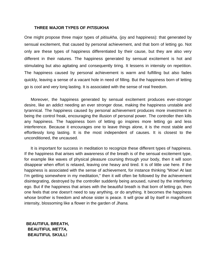### **THREE MAJOR TYPES OF** *PITISUKHA*

One might propose three major types of *pitisukha,* (joy and happiness): that generated by sensual excitement, that caused by personal achievement, and that born of letting go. Not only are these types of happiness differentiated by their cause, but they are also very different in their natures. The happiness generated by sensual excitement is hot and stimulating but also agitating and consequently tiring. It lessens in intensity on repetition. The happiness caused by personal achievement is warm and fulfilling but also fades quickly, leaving a sense of a vacant hole in need of filling. But the happiness born of letting go is cool and very long lasting. It is associated with the sense of real freedom.

Moreover, the happiness generated by sensual excitement produces ever-stronger desire, like an addict needing an ever stronger dose, making the happiness unstable and tyrannical. The happiness caused by personal achievement produces more investment in being the control freak, encouraging the illusion of personal power. The controller then kills any happiness. The happiness born of letting go inspires more letting go and less interference. Because it encourages one to leave things alone, it is the most stable and effortlessly long lasting. It is the most independent of causes. It is closest to the unconditioned, the uncaused.

It is important for success in meditation to recognize these different types of happiness. If the happiness that arises with awareness of the breath is of the sensual excitement type, for example like waves of physical pleasure coursing through your body, then it will soon disappear when effort is relaxed, leaving one heavy and tired. It is of little use here. If the happiness is associated with the sense of achievement, for instance thinking "Wow! At last I'm getting somewhere in my meditation," then it will often be followed by the achievement disintegrating, destroyed by the controller suddenly being aroused, ruined by the interfering ego. But if the happiness that arises with the beautiful breath is that born of letting go, then one feels that one doesn't need to say anything, or do anything. It becomes the happiness whose brother is freedom and whose sister is peace. It will grow all by itself in magnificent intensity, blossoming like a flower in the garden of *Jhana.*

**BEAUTIFUL BREATH, BEAUTIFUL** *METTA,* **BEAUTIFUL SKULL!**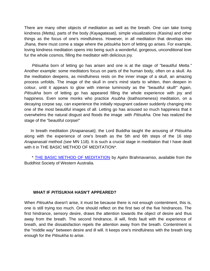There are many other objects of meditation as well as the breath. One can take loving kindness *(Metta),* parts of the body *(Kayagatasati),* simple visualizations *(Kasina)* and other things as the focus of one's mindfulness. However, in all meditation that develops into *Jhana,* there must come a stage where the *pitisukha* born of letting go arises. For example, loving kindness meditation opens into being such a wonderful, gorgeous, unconditional love fur the whole cosmos, filling the meditator with delicious joy.

*Pitisukha* born of letting go has arisen and one is at the stage of "beautiful *Metta."*  Another example: some meditators focus on parts of the human body, often on a skull. As the meditation deepens, as mindfulness rests on the inner image of a skull, an amazing process unfolds. The image of the skull in one's mind starts to whiten, then deepen in colour, until it appears to glow with intense luminosity as the "beautiful skull!" Again, *Pitisukha* born of letting go has appeared filling the whole experience with joy and happiness. Even some monks who practice *Asubha* (loathsomeness) meditation, on a decaying corpse say, can experience the initially repugnant cadaver suddenly changing into one of the most beautiful images of all. Letting go has aroused so much happiness that it overwhelms the natural disgust and floods the image .with *Pitisukha.* One has realized the stage of the "beautiful corpse!"

In breath meditation *(Anapanasati),* the Lord Buddha taught the arousing of *Pitisukha*  along with the experience of one's breath as the 5th and 6th steps of the 16 step *Anapanasati* method *(see* MN 118). It is such a crucial stage in meditation that I have dealt with it in THE BASIC METHOD OF MEDITATION\*.

\* [THE BASIC METHOD OF MEDITATION](file:///D:\Dhammatalks.net\Books\Ajahn_Brahm_Basic_Method_of_Meditation.htm) by Ajahn Brahmavamso, available from the Buddhist Society of Western Australia.

### **WHAT IF** *PITlSUKHA* **HASN'T APPEARED?**

When *Pitisukha* doesn't arise, it must be because there is not enough contentment, this is, one is still trying too much. One should reflect on the first two of the five hindrances. The first hindrance, sensory desire, draws the attention towards the object of desire and thus away from the breath. The second hindrance, ill will, finds fault with the experience of breath, and the dissatisfaction repels the attention away from the breath. Contentment is the "middle way" between desire and ill will. It keeps one's mindfulness with the breath long enough for the *Pitisukha* to arise.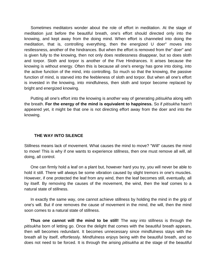Sometimes meditators wonder about the role of effort in meditation. At the stage of meditation just before the beautiful breath, one's effort should directed only into the knowing, and kept away from the doing mind. When effort is channeled into doing the meditation, that is, controlling everything, then the energized U doer" moves into restlessness, another of the hindrances. But when the effort is removed from the" doer" and is given fully to the knowing, then not only does restlessness disappear, but so does sloth and torpor. Sloth and torpor is another of the Five Hindrances. It arises because the knowing is without energy. Often this is because all one's energy has gone into doing, into the active function of the mind, into controlling. So much so that the knowing, the passive function of mind, is starved into the feebleness of sloth and torpor. But when all one's effort is invested in the knowing, into mindfulness, then sloth and torpor become replaced by bright and energized knowing.

Putting all one's effort into the knowing is another way of generating *pitisukha* along with the breath. **For the energy of the mind is equivalent to happiness.** So if *pitisukha* hasn't appeared yet, it might be that one is not directing effort away from the doer and into the knowing.

### **THE WAY INTO SILENCE**

Stillness means lack of movement. What causes the mind to move? "Will" causes the mind to move! This is why if one wants to experience stillness, then one must remove all will, all doing, all control.

One can firmly hold a leaf on a plant but, however hard you try, you will never be able to hold it still. There will always be some vibration caused by slight tremors in one's muscles. However, if one protected the leaf from any wind, then the leaf becomes still, eventually, all by itself. By removing the causes of the movement, the wind, then the leaf comes to a natural state of stillness.

In exactly the same way, one cannot achieve stillness by holding the mind in the grip of one's will. But if one removes the cause of movement in the mind, the will, then the mind soon comes to a natural state of stillness.

**Thus one cannot will the mind to be still!** The way into stillness is through the *pitisukha* born of letting go. Once the delight that comes with the beautiful breath appears, then will becomes redundant. It becomes unnecessary since mindfulness stays with the breath all by itself, effortlessly. Mindfulness enjoys being with the beautiful breath, and so does not need to be forced. It is through the arising *pitisukha* at the stage of the beautiful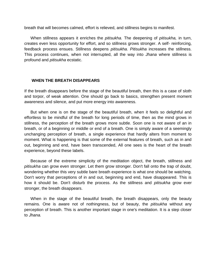breath that will becomes calmed, effort is relieved, and stillness begins to manifest.

When stillness appears it enriches the *pitisukha.* The deepening of *pitisukha,* in turn, creates even less opportunity for effort, and so stillness grows stronger. A self- reinforcing, feedback process ensues. Stillness deepens *pitisukha. Pitisukha* increases the stillness. This process continues, when not interrupted, all the way into *Jhana* where stillness is profound and *pitisukha* ecstatic.

#### **WHEN THE BREATH DISAPPEARS**

If the breath disappears before the stage of the beautiful breath, then this is a case of sloth and torpor, of weak attention. One should go back to basics, strengthen present moment awareness and silence, and put more energy into awareness.

But when one is on the stage of the beautiful breath, when it feels so delightful and effortless to be mindful of the breath for long periods of time, then as the mind grows in stillness, the perception of the breath grows more subtle. Soon one is not aware of an in breath, or of a beginning or middle or end of a breath. One is simply aware of a seemingly unchanging perception of breath, a single experience that hardly alters from moment to moment. What is happening is that some of the external features of breath, such as in and out, beginning and end, have been transcended, All one sees is the heart of the breath experience, beyond these labels.

Because of the extreme simplicity of the meditation object, the breath, stillness and *pitisukha* can grow even stronger. Let them grow stronger. Don't fall onto the trap of doubt, wondering whether this very subtle bare breath experience is what one should be watching. Don't worry that perceptions of in and out, beginning and end, have disappeared. This is how it should be. Don't disturb the process. As the stillness and *pitisukha* grow ever stronger, the breath disappears.

When in the stage of the beautiful breath, the breath disappears, only the beauty remains. One is aware not of nothingness, but of beauty, the *pitisukha* without any perception of breath. This is another important stage in one's meditation. It is a step closer to *Jhana.*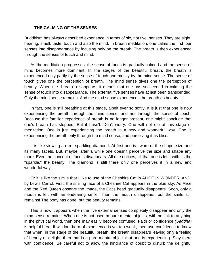### **THE CALMING OF THE SENSES**

Buddhism has always described experience in terms of six, not five, senses. They are sight, hearing, smell, taste, touch and also the mind. In breath meditation, one calms the first four senses into disappearance by focusing only on the breath. The breath is then experienced through the senses of touch and mind.

As the meditation progresses, the sense of touch is gradually calmed and the sense of mind becomes more dominant. In the stages of the beautiful breath, the breath is experienced only partly by the sense of touch and mostly by the mind sense. The sense of touch gives one the perception of breath. The mind sense gives one the perception of beauty. When the "breath" disappears, it means that one has succeeded in calming the sense of touch into disappearance. The external five senses have at last been transcended. Only the mind sense remains. And the mind sense experiences the breath as beauty.

In fact, one is still breathing at this stage, albeit ever so softly, It is just that one is now experiencing the breath through the mind sense, and not through the sense of touch. Because the familiar experience of breath is no longer present, one might conclude that one's breath has stopped! But it hasn't. Don't worry. One will not die at this stage of meditation! One is just experiencing the breath in a new and wonderful way. One is experiencing the breath only through the mind sense, and perceiving it as bliss.

It is like viewing a rare, sparkling diamond. At first one is aware of the shape, size and its many facets. But, maybe, after a while one doesn't perceive the size and shape any more. Even the concept of facets disappears. All one notices, all that one is left . with, is the "sparkle," the beauty. The diamond is still there only one perceives it in a new and wonderful way.

Or it is like the simile that I like to use of the Cheshire Cat in ALICE IN WONDERLAND, by Lewis Carrol. First, the smiling face of a Cheshire Cat appears in the blue sky. As Alice and the Red Queen observe the image, the Cat's head gradually disappears. Soon, only a mouth is left with an endearing smile. Then the mouth disappears, but the smile still remains! The body has gone, but the beauty remains.

This is how it appears when the five external senses completely disappear and only the mind sense remains. When one is not used m pure mental objects, with no link to anything in the physical world, then one may easily become confused. Faith or confidence *(Saddha)*  is helpful here. If wisdom born of experience is yet too weak, then use confidence to know that when, in the stage of the beautiful breath, the breath disappears leaving only a feeling of beauty or delight, then that is a pure mental object that one is experiencing. Stay there with confidence. Be careful not to allow the hindrance of doubt to disturb the delightful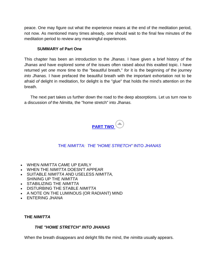peace. One may figure out what the experience means at the end of the meditation period, not now. As mentioned many times already, one should wait to the final few minutes of the meditation period to review any meaningful experiences.

## **SUMMARY of Part One**

This chapter has been an introduction to the *Jhanas.* I have given a brief history *of* the *Jhanas* and have explored some *of* the issues often raised about this exalted topic. I have returned yet *one* more time to the "beautiful breath," *for* it is the beginning *of* the journey *into Jhanas.* I have prefaced the beautiful breath with the important exhortation not to be afraid *of* delight in meditation, for delight is the "glue" that holds the mind's attention on the breath.

The next part takes us further down the road to the deep absorptions. Let us turn now to a discussion *of* the *Nimitta,* the "home stretch" into *Jhanas.*



# THE *NIMITTA: THE "HOME STRETCH"* INTO *JHANAS*

- WHEN *NIMITTA* CAME UP EARLY
- WHEN THE *NIMITTA* DOESN'T APPEAR
- SUITABLE *NIMITTA* AND USELESS *NIMITTA,*  SHINING UP THE *NIMITTA*
- STABILIZING THE *NIMITTA*
- DISTURBING THE STABLE *NIMITTA*
- A NOTE ON THE LUMINOUS (OR RADIANT) MIND
- ENTERING *JHANA*

## **THE** *NIMITTA*

## *THE "HOME STRETCH" INTO JHANAS*

When the breath disappears and delight fills the mind, the *nimitta* usually appears.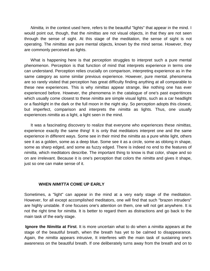*Nimitta,* in the context used here, refers to the beautiful "lights" that appear in the mind. I would point out, though, that the *nimittas* are not visual objects, in that they are not seen through the sense of sight. At this stage of the meditation, the sense of sight is not operating. The *nimittas* are pure mental objects, known by the mind sense. However, they are commonly perceived as lights.

What is happening here is that perception struggles to interpret such a pure mental phenomenon. Perception is that function of mind that interprets experience in terms one can understand. Perception relies crucially on comparison, interpreting experience as in the same category as some similar previous experience. However, pure mental. phenomena are so rarely visited that perception has great difficulty finding anything at all comparable to these new experiences. This is why *nimittas* appear strange, like nothing one has ever experienced before. However, the phenomena in the catalogue of one's past experitinces which usually come closest to these *nimitta* are simple visual lights, such as a car headlight or a flashlight in the dark or the full moon in the night sky. So perception adopts this closest, but imperfect, comparison and interprets the *nimitta* as lights. Thus, one usually experiences *nimitta* as a light, a light seen in the mind.

It was a fascinating discovery to realize that everyone who experiences these *nimittas,*  experience exactly the same thing! It is only that meditators interpret one and the same experience in different ways. Some see in their mind the *nimitta* as a pure white light, others see it as a golden, some as a deep blue. Some see it as a circle, some as oblong in shape, some as sharp edged, and some as fuzzy edged. There is indeed no end to the features of *nimitta,* which meditators describe. The important thing to know is that color, shape and so on are irrelevant. Because it is one's perception that colors the *nimitta* and gives it shape, just so one can make sense of it.

### **WHEN** *NIMITTA* **COME UP EARLY**

Sometimes, a "light" can appear in the mind at a very early stage of the meditation. However, for all except accomplished meditators, one will find that such "brazen intruders" are highly unstable. If one focuses one's attention on them, one will not get anywhere. It is not the right time for *nimitta.* It is better to regard them as distractions and go back to the main task of the early stage.

**Ignore the** *Nimitta* **at First**. It is more uncertain what to do when a *nimitta* appears at the stage of the beautiful breath, when the breath has yet to be calmed to disappearance. Again, the *nimitta* appears intrusive, It interferes with the main task of sustaining one's awareness on the beautiful breath. If one deliberately turns away from the breath and on to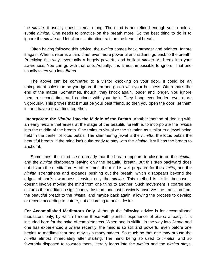the *nimitta,* it usually doesn't remain long. The mind is not refined enough yet to hold a subtle *nimitta;* One needs to practice on the breath more. So the best thing to do is to ignore the *nimitta* and let all one's attention train on the beautiful breath.

Often having followed this advice, the *nimitta* comes back, stronger and brighter. Ignore it again. When it returns a third time, even more powerful and radiant, go back to the breath. Practicing this way, eventually a hugely powerful and brilliant *nimitta* will break into your awareness. You can go with that one. Actually, it is almost impossible to ignore. That one usually takes you into *Jhana.*

The above can be compared to a visitor knocking on your door. It could be an unimportant salesman so you ignore them and go on with your business. Often that's the end of the matter. Sometimes, though, they knock again, louder and longer. You ignore them a second time and continue with your task. They bang ever louder, ever more vigorously. This proves that it must be your best friend, so then you open the door, let them in, and have a great time together.

**Incorporate the** *Nimitta* **into the Middle of the Breath.** Another method of dealing with an early *nimitta* that arises at the stage of the beautiful breath is to incorporate the *nimitta*  into the middle of the breath. One trains to visualize the situation as similar to a jewel being held in the center of lotus petals. The shimmering jewel is the *nimitta,* the lotus petals the beautiful breath. If the mind isn't quite ready to stay with the *nimitta,* it still has the breath to anchor it.

Sometimes, the mind is so unready that the breath appears to close in on the *nimitta,*  and the *nimitta* disappears leaving only the beautiful breath. But this step backward does not disturb the meditation. At other times, the mind is well prepared for the *nimitta,* and the *nimitta* strengthens and expands pushing out the breath, which disappears beyond the edges of one's awareness, leaving only the *nimitta.* This method is skillful because it doesn't involve moving the mind from one thing to another. Such movement is coarse and disturbs the meditation significantly. Instead, one just passively observes the transition from the beautiful breath to the *nimitta,* and maybe back again, allowing the process to develop or recede according to nature, not according to one's desire.

**For Accomplished Meditators Only**. Although the following advice is for accomplished meditators only, by which I mean those with plentiful experience of *Jhana* already, it is included here for the sake of completeness. When one is skillful in the way into *Jhana* and one has experienced a *Jhana* recently, the mind is so still and powerful even before one begins to meditate that one may skip many stages. So much so that one may arouse the *nimitta* almost immediately after starting. The mind being so used to *nimitta,* and so favorably disposed to towards them, literally leaps into the *nimitta* and the *nimitta* stays.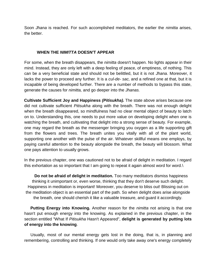Soon *Jhana* is reached. For such accomplished meditators, the earlier the *nimitta* arises, the better.

## **WHEN THE** *NIMITTA* **DOESN'T APPEAR**

For some, when the breath disappears, the *nimitta* doesn't happen. No lights appear in their mind. Instead, they are only left with a deep feeling of peace, of emptiness, of nothing. This can be a very beneficial state and should not be belittled, but it is not *Jhana.* Moreover, it lacks the power to proceed any further. It is a *cul-de- sac,* and a refined one at that, but it is incapable of being developed further. There are a number of methods to bypass this state, generate the causes for *nimitta,* and go deeper into the *Jhanas.*

**Cultivate Sufficient Joy and Happiness** *(Pitisukha).* The state above arises because one did not cultivate sufficient *Pitisukha* along with the breath. There was not enough delight when the breath disappeared, so mindfulness had no clear mental object of beauty to latch on to. Understanding this, one needs to put more value on developing delight when one is watching the breath, and cultivating that delight into a strong sense of beauty. For example, one may regard the breath as the messenger bringing you oxygen as a life supporting gift from the flowers and trees. The breath unites you vitally with all of the plant world, supporting one another with the pulse of the air. Whatever skillful means one employs, by paying careful attention to the beauty alongside the breath, the beauty will blossom. What one pays attention to usually grows.

In the previous chapter, one was cautioned not to be afraid of delight in meditation. I regard this exhortation as so important that I am going to repeat it again almost word for word.\

**Do not be afraid of delight in meditation.** Too many meditators dismiss happiness thinking it unimportant or, even worse, thinking that they don't deserve such delight. Happiness in meditation is important! Moreover, you deserve to bliss out! Blissing out on the meditation object is an essential part of the path. So when delight does arise alongside the breath, one should cherish it like a valuable treasure, and guard it accordingly.

**Putting Energy into Knowing.** Another reason for the *nimitta* not arising is that one hasn't put enough energy into the knowing. As explained in the previous chapter, in the section entitled "What If *Pitisukha* Hasn't Appeared", **delight is generated by putting lots of energy into the knowing**.

Usually, most of our mental energy gets lost in the doing, that is, in planning and remembering, controlling and thinking. If one would only take away one's energy completely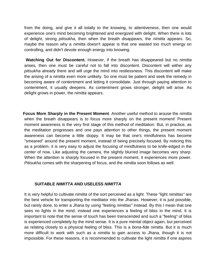from the doing, and give it all totally to the knowing, to attentiveness, then one would experience one's mind becoming brightened and energized with delight. When there is lots of delight, strong *pitisukha,* then when the breath disappears, the *nimitta* appears. So, maybe the reason why a *nimitta* doesn't appear is that one wasted too much energy on controlling, and didn't devote enough energy into knowing.

**Watching Out for Discontent.** However, if the breath has disappeared but no *nimitta*  arises, then one must be careful not to fall into discontent. Discontent will wither any *pitisukha* already there and will urge the mind into restlessness. This discontent will make the arising of a *nimitta* even more unlikely. So one must be patient and seek the remedy in becoming aware of contentment and letting it consolidate. Just through paying attention to contentment, it usually deepens. As contentment grows stronger, delight will arise. As delight grows in power, the *nimitta* appears.

**Focus More Sharply in the Present Moment**. Another useful method to arouse the *nimitta*  when the breath disappears is to focus more sharply on the present moment! Present moment awareness is the very first stage of this method of meditation. But, in practice, as the meditation progresses and one pays attention to other things, the present moment awareness can become a little sloppy. It may be that one's mindfulness has become "smeared" around the present moment, instead of being precisely focused. By noticing this as a problem, it is very easy to adjust the focusing of mindfulness to be knife-edged in the center of now. Like adjusting the camera, the slightly blurred image becomes very sharp. When the attention is sharply focused in the present moment, it experiences more power. *Pitisukha* comes with the sharpening of focus, and the *nimitta* soon follows as well.

## **SUITABLE** *NIMITTA* **AND USELESS** *NIMITTA*

It is very helpful to cultivate *nimitta* of the sort perceived as a light. These "light *nimittas"* are the best vehicle for transporting the meditator into the *Jhanas.* However, it is just possible, but rarely done, to enter a *Jhana* by using "feeling *nimittas"* instead. By this I mean that one sees no lights in the mind, instead one experiences a feeling of bliss in the mind. It is important to note that the sense of touch has been transcended and such a "feeling" of bliss is experienced completely by the mind sense. It is a pure mental object again, but perceived as relating closely to a physical feeling of bliss. This is a *bona-fide nimitta.* But it is much more difficult to work with such as a *nimitta* to gain access to *Jhana,* though it is not impossible. For these reasons, it is recommended to cultivate the light *nimitta* if one aspires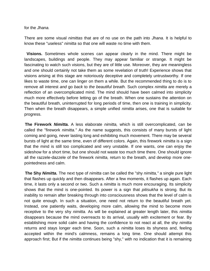for the *Jhana.*

There are some visual *nimittas* that are of no use on the path into *Jhana.* It is helpful to know these "useless" *nimitta* so that one will waste no time with them.

**Visions.** Sometimes whole scenes can appear clearly in the mind. There might be landscapes, buildings and people. They may appear familiar or strange. It might be fascinating to watch such visions, but they are of little use. Moreover, they are meaningless and one should certainly not take them as some revelation of truth! Experience shows that visions arising at this stage are notoriously deceptive and completely untrustworthy. If one likes to waste time, one can linger on them a while. But the recommended thing to do is to remove all interest *and* go *back* to *the beautiful breath.* Such complex *nimitta* are merely a reflection of an overcomplicated mind. The mind should have been calmed into simplicity much more effectively before letting go of the breath. When one sustains the attention on the beautiful breath, uninterrupted for long periods of time, then one is training in simplicity. Then when the breath disappears, a simple unified *nimitta* arises, one that is suitable for progress.

**The Firework** *Nimitta.* A less elaborate *nimitta,* which is still overcomplicated, can be called the "firework *nimitta."* As the name suggests, this consists of many bursts of light coming and going, never lasting long and exhibiting much movement. There may be several bursts of light at the same time, even of different colors. Again, this firework *nimitta* is a sign that the mind is still too complicated and very unstable. If one wants, one can enjoy the sideshow for a short time, but one should not waste too much time there. One should ignore all the razzele-dazzele of the firework *nimitta,* return to the breath, and develop more onepointedness and calm.

**The Shy** *Nimitta.* The next type of *nimitta* can be called the "shy *nimitta,"* a single pure light that flashes up quickly and then disappears. After a few moments, it flashes up again. Each time, it lasts only a second or two. Such a *nimitta* is much more encouraging. Its simplicity shows that the mind is one-pointed. Its power is a sign that *pitisukha* is strong. But its inability to remain after breaking through into consciousness shows that the level of calm is not quite enough. In such a situation, one need not return to the beautiful breath yet. Instead, one patiently waits, developing more calm, allowing the mind to become more receptive to the very shy *nimitta.* As will be explained at greater length later, this *nimitta*  disappears because the mind overreacts to its arrival, usually with excitement or fear. By establishing more solid calm and having the confidence to not react at all, the shy *nimitta*  returns and stays longer each time. Soon, such a *nimitta* loses its shyness and, feeling accepted within the mind's calmness, remains a long time. One should attempt this approach first; But if the *nimitta* continues being "shy," with no indication that it is remaining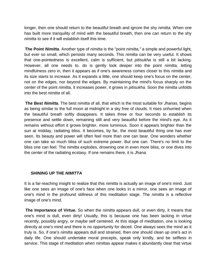longer, then one should return to the beautiful breath and ignore the shy *nimitta.* When one has built more tranquility of mind with the beautiful breath, then one can return to the shy *nimitta* to see if it will establish itself this time.

**The Point** *Nimitta.* Another type of *nimitta* is the "point *nimitta,"* a simple and powerful light, but ever so small, which persists many seconds. This *nimitta* can be very useful. It shows that one-pointedness is excellent, calm is sufficient, but *pitisukha* is still a bit lacking. However, all one needs to. do is gently look deeper into the point *nimitta,* letting mindfulness zero in, then it appears as if one's awareness comes closer to this *nimitta* and its size starts to increase. As it expands a little, one should keep one's focus on the center, not on the edges, nor beyond the edges. By maintaining the mind's focus sharply on the center of the point *nimitta,* it increases power, it grows in *pitisukha.* Soon the *nimitta* unfolds into the best *nimitta* of all.

**The Best** *Nimitta.* The best *nimitta* of all, that which is the most suitable for *Jhanas,* begins as being similar to the full moon at midnight in a sky free of clouds. It rises unhurried when the beautiful breath softly disappears. It takes three or four seconds to establish its presence and settle down, remaining still and very beautiful before the mind's eye. As it remains without effort it grows brighter, more luminous. Soon it appears brighter than the sun at midday, radiating bliss. It becomes, by far, the most beautiful thing one has ever seen. Its beauty and power will often feel more than one can bear. One wonders whether one can take so much bliss of such extreme power. But one can. There's no limit to the bliss one can feel. The *nimitta* explodes, drowning one in even more bliss, or one dives into the center of the radiating ecstasy. If one remains there, it is *Jhana.*

## **SHINING UP THE** *NIMITTA*

It is a far-reaching insight to realize that this *nimitta* is actually an image of one's mind. Just like one sees an image of one's face when one looks in a mirror, one sees an image of one's mind in the profound stillness of this meditation stage. The *nimitta* is a reflective image of one's mind.

**The Importance of Virtue.** So when the *nimitta* appears dull, or even dirty, it means that one's mind is dull, even dirty! Usually, this is because one has been lacking in virtue recently, possibly angry, or maybe self centered. At this stage of meditation, one is looking directly at one's mind and there is no opportunity for deceit. One always sees the mind as it truly is. So, if one's *nimitta* appears dull and strained, then one should clean up one's act in daily life. One should undertake moral precepts, speak only kindly, and be selfless in service. This stage of meditation when nimittas appear makes it abundantly clear that virtue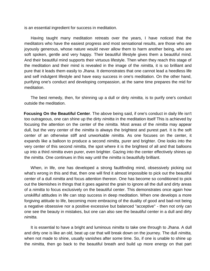is an essential ingredient for success in meditation.

Having taught many meditation retreats over the years, I have noticed that the meditators who have the easiest progress and most sensational results, are those who are joyously generous, whose nature would never allow them to harm another being, who are soft spoken, gentle and very happy. Their beautiful lifestyle gives them a beautiful mind. And their beautiful mind supports their virtuous lifestyle. Then when they reach this stage of the meditation and their mind is revealed in the image of the *nimitta,* it is so brilliant and pure that it leads them easily to *Jhana.* It demonstrates that one cannot lead a heedless life and self indulgent lifestyle and have easy success in one's meditation. On the other hand, purifying one's conduct and developing compassion, at the same time prepares the mid for meditation.

The best remedy, then, for shinning up a dull or dirty *nimitta,* is to purify one's conduct outside the meditation.

**Focusing On the Beautiful Center**. The above being said, if one's conduct in daily life isn't too outrageous, one can shine up the dirty *nimitta* in the meditation itself This is achieved by focusing the attention on the center of the *nimitta.* Most areas of the *nimitta* may appear dull, but the very center of the *nimitta* is always the brightest and purest part. It is the soft center of an otherwise stiff and unworkable *nimitta.* As one focuses on the center, it expands like a balloon to produce a second *nimitta,* purer and brighter. One looks into the very center of this second *nimitta,* the spot where it is the brightest of all and that balloons up into a third *nimitta* even purer, even brighter. Gazing into the center effectively shines up the *nimitta.* One continues in this way until the *nimitta* is beautifully brilliant.

When, in life, one has developed a strong faultfinding mind, obsessively picking out what's wrong in this and that, then one will find it almost impossible to pick out the beautiful center of a dull *nimitta* and focus attention thereon. One has become so conditioned to pick out the blemishes in things that it goes against the grain to ignore all the dull and dirty areas of a *nimitta* to focus exclusively on the beautiful center. This demonstrates once again how unskillful attitudes in life can stop success in deep meditation. When one develops a more forgiving attitude to life, becoming more embracing of the duality of good and bad-not being a negative obsessive nor a positive excessive but balanced "acceptive" - then not only can one see the beauty in mistakes, but one can also see the beautiful center in a dull and dirty *nimitta.*

It is essential to have a bright and luminous *nimitta* to take one through to *Jhana.* A dull and dirty one is like an old, beat up car that will break down on the journey. The dull *nimitta,*  when not made to shine, usually vanishes after some time. So, if one is unable to shine up the *nimitta,* then go back to the beautiful breath and build up more energy on that part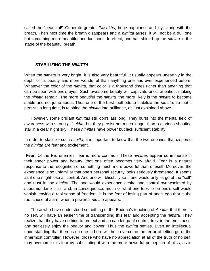called the "beautiful!" Generate greater *Pitisukha,* huge happiness and joy, along with the breath. Then next time the breath disappears and a *nimitta* arises, it will not be a dull one but something more beautiful and luminous. In effect, one has shined up the *nimitta* in the stage of the beautiful breath.

## **STABILIZING THE** *NIMITTA*

When the *nimitta* is very bright, it is also very beautiful. It usually appears unearthly in the depth of its beauty and more wonderful than anything one has ever experienced before. Whatever the color of the *nimitta,* that color is a thousand times richer than anything that can be seen with one's eyes. Such awesome beauty will captivate one's attention, making the *nimitta* remain. The more beautiful the *nimitta,* the more likely is the *nimitta* to become stable and not jump about. Thus one of the best methods to stabilize the *nimitta,* so that it persists a long time, is to shine the *nimitta* into brilliance, as just explained above.

However, some brilliant *nimittas* still don't last long. They burst into the mental field of awareness with strong *pitisukha,* but they persist not much longer than a glorious shooting star in a clear night sky. These *nimittas* have power but lack sufficient stability.

In order to stabilize such *nimitta,* it is important to know that the two enemies that disperse the *nimitta* are fear and excitement.

**Fear.** Of the two enemies, fear is more common. These *nimittas* appear so immense in their sheer power and beauty, that one often becomes very afraid. Fear is a natural response to the recognition of something much more powerful than oneself. Moreover, the experience is so unfamiliar that one's personal security looks seriously threatened. It seems as if one might lose all control. And one will-blissfully so-if one would only let go of the "self" and trust in the *nimitta!* The one would experience desire and control overwhelmed by supramundane bliss, and, in consequence, much of what one took to be one's self would vanish leaving a real sense of freedom. It is the fear of losing part of one's ego that is the root cause of alarm when a powerful *nimitta* appears.

Those who have understood something of the Buddha's teaching of *Anatta,* that there is no self, will have an easier time of transcending this fear and accepting the *nimitta.* They realize that they have nothing to protect and so can let go of control, trust in the emptiness, and selflessly enjoy the beauty and power. Thus the *nimitta* settles. Even an intellectual understanding that there is no one in here will help overcome the terror of letting go of the innermost controller. However, those who have no appreciation at all of the truth of no self, may overcome this fear by substituting it with the more powerful perception of bliss, as in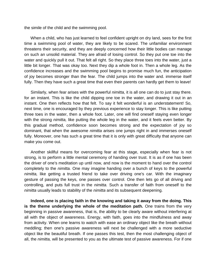the simile of the child and the swimming pool.

When a child, who has just learned to feel confident upright on dry land, sees for the first time a swimming pool of water, they are likely to be scared. The unfamiliar environment threatens their security, and they are deeply concerned how their little bodies can manage on such an unsolid material. They are afraid of losing control. So they put one toe into the water and quickly pull it out. That felt all right. So they place three toes into the water, just a little bit longer. That was okay too. Next they dip a whole foot in. Then a whole leg. As the confidence increases and the swimming pool begins to promise much fun, the anticipation of joy becomes stronger than the fear. The child jumps into the water and. immerse itself fully. Then they have such a great time that even their parents can hardly get them to leave!

Similarly, when fear arises with the powerful *nimitta,* it is all one can do to just stay there. for an instant. This is like the child dipping one toe in the water, and drawing it out in an instant. One then reflects how that felt. To say it felt wonderful is an understatement! So, next time, one is encouraged by they previous experience to stay longer. This is like putting three toes in the water, then a whole foot. Later, one will find oneself staying even longer with the strong *nimitta*, like putting the whole leg in the water, and it feels even better. By this gradual method, confidence soon becomes strong and the expectation of joy so dominant, that when the awesome *nimitta* arises one jumps right in and immerses oneself fully. Moreover, one has such a great time that it is only with great difficulty that anyone can make you come out.

Another skillful means for overcoming fear at this stage, especially when fear is not strong, is to perform a little mental ceremony of handing over trust. It is as if one has been the driver of one's meditation up until now, and now is the moment to hand over the control completely to the *nimitta.* One may imagine handing over a bunch of keys to the powerful *nimitta,* like getting a trusted friend to take over driving one's car. With the imaginary gesture of passing the keys, one passes over control. One then lets go of all driving and controlling, and puts full trust in the *nimitta.* Such a transfer of faith from oneself to the *nimitta* usually leads to stability of the *nimitta* and its subsequent deepening.

**Indeed, one is placing faith in the knowing and taking it away from the doing. This is the theme underlying the whole of the meditation path.** One trains from the very beginning in passive awareness, that is, the ability to be clearly aware without interfering at all with the object of awareness. Energy, with faith, goes into the mindfulness and away from activity. When one learns to watch with ease an ordinary object like the breath without meddling; then one's passive awareness will next be challenged with a more seductive object like the beautiful breath. If one passes this test, then the most challenging object of all, the *nimitta,* will be presented to you as the ultimate test of passive awareness. For if one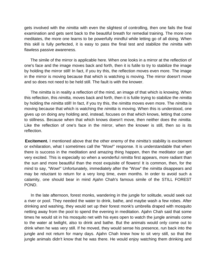gets involved with the *nimitta* with even the slightest of controlling, then one fails the final examination and gets sent back to the beautiful breath for remedial training. The more one meditates, the more one learns to be powerfully mindful while letting go of all doing. When this skill is fully perfected, it is easy to pass the final test and stabilize the *nimitta* with flawless passive awareness.

The simile of the mirror is applicable here. When one looks in a mirror at the reflection of one's face and the image moves back and forth, then it is futile to try to stabilize the image by holding the mirror still! In fact, if you try this, the reflection moves even more. The image in the mirror is moving because that which is watching is moving. The mirror doesn't move and so does not need to be held still. The fault is with the knower.

The *nimitta* is in reality a reflection of the mind, an image of that which is knowing. When this reflection, this *nimitta,* moves back and forth, then it is futile trying to stabilize the *nimitta*  by holding the *nimitta* still! In fact, if you try this, the *nimitta* moves even more. The *nimitta* is moving because that which is watching the *nimitta* is moving. When this is understood, one gives up on doing any holding and, instead, focuses on that which knows, letting that come to stillness. Because when that which knows doesn't move, then neither does the *nimitta.*  Like the reflection of one's face in the mirror, when the knower is still, then so is its reflection.

**Excitement.** I mentioned above that the other enemy of the *nimitta's* stability is excitement or exhilaration, what I sometimes call the "Wow!" response. It is understandable that when there is success in the meditation and amazing thing happen, then the meditator can get very excited. This is especially so when a wonderful *nimitta* first appears, more radiant than the sun and more beautiful than the most exquisite of flowers! It is common, then, for the mind to say, "Wow!" Unfortunately, immediately after the "Wow" the *nimitta* disappears and may be reluctant to return for a very long time, even months. In order to avoid such a calamity, one should bear in mind Ajahn Chah's famous simile of the STILL FOREST POND.

In the late afternoon, forest monks, wandering in the jungle for solitude, would seek out a river or pool. They needed the water to drink, bathe, and maybe wash a few robes. After drinking and washing, they would set up their forest monk's umbrella draped with mosquito netting away from the pool to spend the evening in meditation. Ajahn Chah said that some times he would sit in his mosquito net with his eyes open to watch the jungle animals come to the water at twilight, also to drink and bathe. But the animals would only come out to drink when he was very still. If he moved, they would sense his presence, run back into the jungle and not return for many days. Ajahn Chah knew how to sit very still, so that the jungle animals didn't know that he was there. He would enjoy watching them drinking and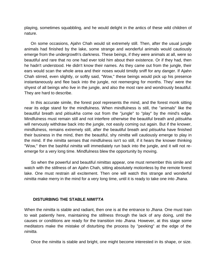playing, sometimes squabbling, and he would delight in the antics of these wild children of nature.

On some occasions, Ajahn Chah would sit extremely still. Then, after the usual jungle animals had finished by the lake, some strange and wonderful animals would cautiously emerge from the undergrowth's darkness. These beings, if they were animals at all, were so beautiful and rare that no one had ever told him about their existence. Or if they had, then he hadn't understood. He didn't know their names. As they came out from the jungle, their ears would scan the whole area and their noses would timidly sniff for any danger. If Ajahn Chah stirred, even slightly, or softly said, "Wow," these beings would pick up his presence instantaneously and flee back into the jungle, not reemerging for months. They' were the shyest of all beings who live in the jungle, and also the most rare and wondrously beautiful. They are hard to describe.

In this accurate simile, the forest pool represents the mind, and the forest monk sitting near its edge stand for the mindfulness. When mindfulness is still, the "animals" like the beautiful breath and *pitisukha* come out from the "jungle" to "play" by the mind's edge. Mindfulness must remain still and not interfere otherwise the beautiful breath and *pitisukha*  will nervously withdraw back into the jungle, not easily coming out again. But if the knower, mindfulness, remains extremely still, after the beautiful breath and *pitisukha* have finished their business in the mind, then the beautiful, shy *nimitta* will cautiously emerge to play in the mind. If the *nimitta* senses that mindfulness isn't so still, if it hears the knower thinking "Wow," then the bashful *nimitta* will immediately run back into the jungle, and it will not reemerge for a very long time. Mindfulness blew the opportunity by moving.

So when the powerful and beautiful *nimittas* appear, one must remember this simile and watch with the stillness of an Ajahn Chah, sitting absolutely motionless by the remote forest lake. One must restrain all excitement. Then one will watch this strange and wonderful *nimitta* make merry in the mind for a very long time, until it is ready to take one into *Jhana.*

### **DISTURBING THE STABLE** *NIMITTA*

When the *nimitta* is stable and radiant, then one is at the entrance to *Jhana.* One must train to wait patiently here, maintaining the stillness through the lack of any doing, until the causes or conditions are ready for the transition into *Jhana.* However, at this stage some meditators make the mistake of disturbing the process by "peeking" at the edge of the *nimitta.*

Once the *nimitta* is stable and bright, one might become interested in its shape, or size.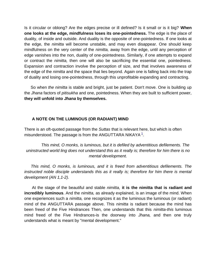Is it circular or oblong? Are the edges precise or ill defined? Is it small or is it big? **When one looks at the edge, mindfulness loses its one-pointedness.** The edge is the place of duality, of inside and outside. And duality is the opposite of one-pointedness. If one looks at the edge, the *nimitta* will become unstable, and may even disappear. One should keep mindfulness on the very center of the *nimitta,* away from the edge, until any perception of edge vanishes into the non, duality of one-pointedness. Similarly, if one attempts to expand or contract the *nimitta,* then one will also be sacrificing the essential one, pointedness. Expansion and contraction involve the perception of size, and that involves awareness of the edge of the *nimitta* and the space that lies beyond. Again one is falling back into the trap of duality and losing one-pointedness, through this unprofitable expanding and contracting.

So when *the nimitta* is stable and bright, just be patient. Don't move. One is building up the *Jhana* factors of *pitisukha* and one, pointedness. When they are built to sufficient power, **they will unfold into** *Jhana* **by themselves.**

## **A NOTE ON THE LUMINOUS (OR RADIANT) MIND**

There is an oft-quoted passage from the *Suttas* that is relevant here, but which is often misunderstood. The passage is from the ANGUTTARA NIKAYA $\rm ^1$  $\rm ^1$ .

*This mind, O monks, is luminous, but it is defiled by adventitious defilements. The uninstructed world ling does not understand this as it really is; therefore for him there is no mental development.*

*This mind, O monks, is luminous, and it is freed from adventitious defilements. The instructed noble disciple understands this as it really is; therefore for him there is mental development (AN 1,1-2).*

At the stage of the beautiful and stable *nimitta,* **it is the nimitta that is radiant and incredibly luminous**. And the *nimitta,* as already explained, is an image of the mind. When one experiences such a *nimitta,* one recognizes it as the luminous the luminous (or radiant) mind of the ANGUTTARA passage above. This *nimitta* is radiant because the mind has been freed of the Five Hindrances Then, one understands that this *nimitta-this* luminous mind freed of the Five Hindrances-is the doorway into *Jhana,* and then one truly understands what is meant by "mental development."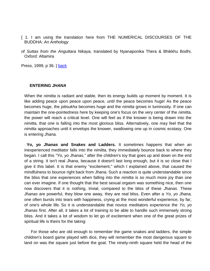- [ 1. I am using the translation here from THE NUMERICAL DISCOURSES OF THE BUDDHA: *An Anthology*
- of *Suttas from the Anguttara Nikaya,* translated by Nyanaponika Thera & Bhikkhu Bodhi, Oxford: Altamira

Press, 1999, p 36. ] **back** 

#### **ENTERING** *JHANA*

When the *nimitta* is radiant and stable, then its energy builds up moment by moment. It is like adding peace upon peace upon peace, until the peace becomes huge! As the peace becomes huge, the *pitisukha* becomes huge and the *nimitta* grows in luminosity. If one can maintain the one-pointedness here by keeping one's focus on the very center of the *nimitta,*  the power will reach a critical level. One will feel as if the knower is being drawn into the *nimitta,* that one is falling into the most glorious bliss. Alternatively, one may feel that the *nimitta* approaches until it envelops the knower, swallowing one up in cosmic ecstasy. One is entering *Jhana.*

**Yo, yo** *Jhanas* **and Snakes and Ladders.** It sometimes happens that when an inexperienced meditator falls into the *nimitta,* they immediately bounce back to where they began. I call this *"Yo, yo Jhanas,"* after the children's toy that goes up and down on the end of a string. It isn't real *Jhana,* because it doesn't last long enough, but it is so close that I give it this label. It is that enemy "excitement," which I explained above, that caused the mindfulness to bounce right back from Jhana. Such a reaction is quite understandable since the bliss that one experiences when falling into the *nimitta* is so much more joy than one can ever imagine. If one thought that the best sexual orgasm was something nice, then one now discovers that it is nothing, trivial, compared to the bliss of these *Jhanas.* These *Jhanas* are powerful, they blow one away, they are real bliss. Even after a *Yo, yo Jhana,*  one often bursts into tears with happiness, crying at the most wonderful experience, by far, of one's whole life. So it is understandable that novice meditators experience the *Yo, yo Jhanas* first. After all, it takes a lot of training to be able to handle such immensely strong bliss. And it takes a lot of wisdom to let go of excitement when one of the great prizes of spiritual life is theirs for the taking:

For those who are old enough to remember the game snakes and ladders, the simple children's board game played with dice, they will remember the most dangerous square to land on was the square just before the goal. The ninety-ninth square held the head of the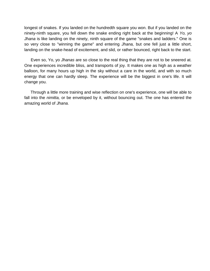longest of snakes. If you landed on the hundredth square you won. But if you landed on the ninety-ninth square, you fell down the snake ending right back at the beginning! A *Yo, yo Jhana* is like landing on the ninety, ninth square of the game "snakes and ladders." One is so very close to "winning the game" and entering *Jhana,* but one fell just a little short, landing on the snake-head of excitement, and slid, or rather bounced, right back to the start.

Even so, Yo, yo *Jhanas* are so close to the real thing that they are not to be sneered at. One experiences incredible bliss, and transports of joy. It makes one as high as a weather balloon, for many hours up high in the sky without a care in the world, and with so much energy that one can hardly sleep. The experience will be the biggest in one's life. It will change you.

Through a little more training and wise reflection on one's experience, one will be able to fall into the *nimitta,* or be enveloped by it, without bouncing out. The one has entered the amazing world of *Jhana.*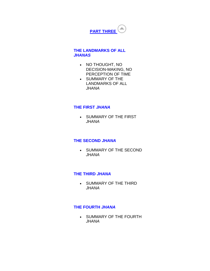

## **THE LANDMARKS OF ALL**  *JHANAS*

- NO THOUGHT, NO DECISION-MAKING, NO PERCEPTION OF TIME
- SUMMARY OF THE LANDMARKS OF ALL *JHANA*

## **THE FIRST** *JHANA*

 SUMMARY OF THE FIRST *JHANA*

## **THE SECOND** *JHANA*

 SUMMARY OF THE SECOND *JHANA*

## **THE THIRD** *JHANA*

 SUMMARY OF THE THIRD *JHANA*

## **THE FOURTH** *JHANA*

 SUMMARY OF THE FOURTH *JHANA*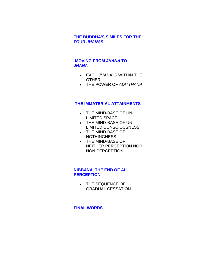## **THE BUDDHA'S SIMILES FOR THE FOUR** *JHANAS*

## **MOVING FROM** *JHANA* **TO**  *JHANA*

- EACH *JHANA* IS WITHIN THE **OTHER**
- THE POWER OF *ADITTHANA*

### **THE IMMATERIAL ATTAINMENTS**

- THE MIND-BASE OF UN-LIMITED SPACE
- THE MIND-BASE OF UN-LIMITED CONSCIOUSNESS
- THE MIND-BASE OF **NOTHINGNESS**
- THE MIND-BASE OF NEITHER PERCEPTION NOR NON-PERCEPTION

### **NIBBANA, THE END OF ALL PERCEPTION**

 THE SEQUENCE OF GRADUAL CESSATION

### **FINAL WORDS**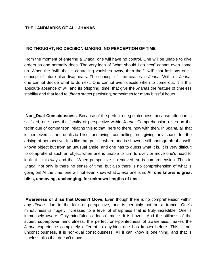## **THE LANDMARKS OF ALL JHANAS**

### **NO THOUGHT, NO DECISION-MAKING, NO PERCEPTION OF TIME**

From the moment of entering a *Jhana,* one will have no control. One will be unable to give orders as one normally does. The very idea of "what should I do next" cannot even come up. When the "will" that is controlling vanishes away, then the "I will" that fashions one's concept of future also disappears. The concept of time ceases in *Jhana.* Within a *Jhana,*  one cannot decide what to do next. One cannot even decide when to come out. It is this absolute absence of will and its offspring, time, that give the *Jhanas* the feature of timeless stability and that lead to *Jhana* states persisting, sometimes for many blissful hours.

**Non\_Dual Consciousness**. Because of the perfect one,pointedness, because attention is so fixed, one loses the faculty of perspective within *Jhana.* Comprehension relies on the technique of comparison, relating this to that, here to there, now with then. In *Jhana,* all that is perceived is non-dualistic bliss, unmoving, compelling, not giving any space for the arising of perspective. It is like that puzzle where one is shown a still photograph of a wellknown object but from an unusual angle, and one has to guess what it is. It is very difficult to comprehend such an object when one is unable to turn to over, or move one's head to look at it this way and that. When perspective is removed, so is comprehension. Thus in *Jhana,* not only is there no sense of time, but also there is no comprehension of what is going on! At the time, one will not even know what *Jhana* one is in. **All one knows is great bliss, unmoving, unchanging, for unknown lengths of time.**

**Awareness of Bliss that Doesn't Move.** Even though there is no comprehension within any *Jhana,* due to the lack of perspective, one is certainly not on a trance. One's mindfulness is hugely increased to a level of sharpness that is truly incredible. One is immensely aware. Only mindfulness doesn't move. It is frozen. And the stillness of the super, superpower mindfulness, the perfect one-pointedness of awareness, makes the *Jhana* experience completely different to anything one has known before. This is not unconsciousness. It is non-dual consciousness. All it can know is one thing, and that is timeless bliss that doesn't move.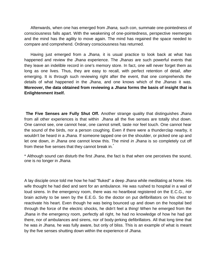Afterwards, when one has emerged from *Jhana,* such con, summate one-pointedness of consciousness falls apart. With the weakening of one-pointedness, perspective reemerges and the mind has the agility to move again. The mind has regained the space needed to compare and comprehend. Ordinary consciousness has returned.

Having just emerged from a *Jhana,* it is usual practice to look back at what has happened and review the *Jhana* experience. The *Jhanas* are such powerful events that they leave an indelible record in one's memory store. In fact, one will never forget them as long as one lives. Thus, they are easy to recall, with perfect retention of detail, after emerging. It is through such reviewing right after the event, that one comprehends the details of what happened in the *Jhana,* and one knows which of the *Jhanas* it was. **Moreover, the data obtained from reviewing a** *Jhana* **forms the basis of insight that is Enlightenment itself.**

**The Five Senses are Fully Shut Off.** Another strange quality that distinguishes *Jhana*  from all other experiences is that within *Jhana* all the five senses are totally shut down. One cannot see, one cannot hear, one cannot smell, taste nor feel touch. One cannot hear the sound of the birds, nor a person coughing. Even if there were a thunderclap nearby, it wouldn't be heard in a *Jhana.* If someone tapped one on the shoulder, or picked one up and let one down, *in Jhana* one cannot know this. The mind *in Jhana* is so completely cut off from these five senses that they cannot break in.<sup>\*</sup>

\* Although sound can disturb the first *Jhana*, the fact is that when one perceives the sound, one is no longer in *Jhana.*

A lay disciple once told me how he had "fluked" a deep *Jhana* while meditating at home. His wife thought he had died and sent for an ambulance. He was rushed to hospital in a wail of loud sirens. In the emergency room, there was no heartbeat registered on the E.C.G., nor brain activity to be seen by the E.E.G. So the doctor on put defibrillators on his chest to reactivate his heart. Even though he was being bounced up and down on the hospital bed through the force of the electric shocks, he didn't feel a thing! When he emerged from the *Jhana* in the emergency room, perfectly all right, he had no knowledge of how he had got there, nor of ambulances and sirens, nor of body-jerking defibrillators. All that long time that he was *in Jhana,* he was fully aware, but only of bliss. This is an example of what is meant by the five senses shutting down within the experience of *Jhana.*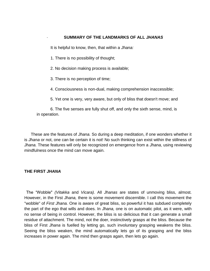## · **SUMMARY OF THE LANDMARKS OF ALL** *JHANAS*

It is helpful to know, then, that within a *Jhana:* 

- 1. There is no possibility of thought;
- 2. No decision making process is available;
- 3. There is no perception of time;
- 4. Consciousness is non-dual, making comprehension inaccessible;
- 5. Yet one is very, very aware, but only of bliss that doesn't move; and

6. The five senses are fully shut off, and only the sixth sense, mind, is in operation.

These are the features of *Jhana.* So during a deep meditation, if one wonders whether it is *Jhana* or not, one can be certain it is not! No such thinking can exist within the stillness of *Jhana.* These features will only be recognized on emergence from a *Jhana,* using reviewing mindfulness once the mind can move again.

## **THE FIRST** *JHANA*

The "Wobble" *(Vitakka* and *Vicara).* All *Jhanas* are states of unmoving bliss, almost. However, in the First *Jhana,* there is some movement discernible. I call this movement the "wobble" of *First Jhana.* One is aware of great bliss, so powerful it has subdued completely the part of the ego that wills and does. In *Jhana,* one is on automatic pilot, as it were, with no sense of being in control. However, the bliss is so delicious that it can generate a small residue of attachment. The mind, not the doer, instinctively grasps at the bliss. Because the bliss of First *Jhana* is fuelled by letting go, such involuntary grasping weakens the bliss. Seeing the bliss weaken, the mind automatically lets go of its grasping and the bliss increases in power again. The mind then grasps again, then lets go again.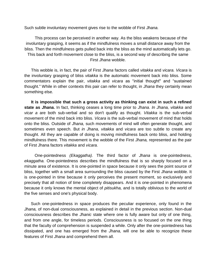Such subtle involuntary movement gives rise to the wobble of First *Jhana.*

This process can be perceived in another way. As the bliss weakens because of the involuntary grasping, it seems as if the mindfulness moves a small distance away from the bliss. Then the mindfulness gets pulled back into the bliss as the mind automatically lets go. This back and forth movement close to the bliss, is a second way of describing the same First *Jhana* wobble.

This wobble is, in fact, the pair of First *Jhana* factors called *vitakka* and *vicara. Vicara* is the involuntary grasping of bliss *vitakka* is the automatic movement back into bliss. Some commentators explain the pair, *vitakka* and *vicara* as "initial thought" and "sustained thought." While in other contexts this pair can refer to thought, in *Jhana* they certainly mean something else.

**It is impossible that such a gross activity as thinking can exist in such a refined state as** *Jhana.* In fact, thinking ceases a long time prior to *Jhana. In Jhana, vitakka* and *vicar a* are both sub-verbal and so don't qualify as thought. *Vitakka* is the sub-verbal movement of the mind back into bliss. *Vicara* is the sub-verbal movement of mind that holds onto the bliss. Outside of *Jhana,* such movements of mind will often generate thought, and sometimes even speech. But *in Jhana, vitakka* and *vicara* are too subtle to create any thought. All they are capable of doing is moving mindfulness back onto bliss, and holding mindfulness there. This movement is the wobble of the First *Jhana,* represented as the pair of First Jhana factors *vitakka* and *vicara.*

One-pointedness *(Ekaggatha).* The third factor of *Jhana* is one-pointedness, *ekaggatha.* One-pointedness describes the mindfulness that is so sharply focused on a minute area of existence. It is one-pointed in space because it only sees the point source of bliss, together with a small area surrounding the bliss caused by the First *Jhana* wobble. It is one-pointed in time because it only perceives the present moment, so exclusively and precisely that all notion of time completely disappears. And it is one-pointed in phenomena because it only knows the mental object of *pitisukha,* and is totally oblivious to the world of the five senses and one's physical body.

Such one-pointedness in space produces the peculiar experience, only found in the *Jhana,* of non-dual consciousness, as explained in detail in the previous section. Non-dual consciousness describes the *Jhanic* state where one is fully aware but only of one thing, and from one angle, for timeless periods. Consciousness is so focused on the one thing that the faculty of comprehension is suspended a while. Only after the one-pointedness has dissipated, and one has emerged from the *Jhana,* will one be able to recognize these features of First *Jhana* and comprehend them all.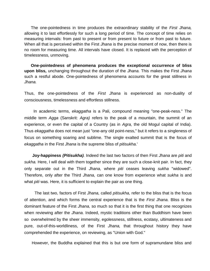The one-pointedness in time produces the extraordinary stability of the *First Jhana,*  allowing it to last effortlessly for such a long period of time. The concept of time relies on measuring intervals: from past to present or from present to future or from past to future. When all that is perceived within the First *Jhana* is the precise moment of now, then there is no room for measuring time. All intervals have closed. It is replaced with the perception of timelessness, unmoving.

**One-pointedness of phenomena produces the exceptional occurrence of bliss upon bliss,** unchanging throughout the duration of the *Jhana.* This makes the First *Jhana*  such a restful abode. One-pointedness of phenomena accounts for the great stillness in *Jhana.*

Thus, the one-pointedness of the *First Jhana* is experienced as non-duality of consciousness, timelessness and effortless stillness.

In academic terms, *ekaggatha* is a Pali, compound meaning "one-peak-ness." The middle term *Agga* (Sanskrit: *Agra)* refers to the peak of a mountain, the summit of an experience, or even the capital of a Country (as in *Agra,* the old Mogul capital of India). Thus *ekaggatha* does not mean just "one-any old point-ness," but it refers to a singleness of focus on something soaring and sublime. The single exalted summit that is the focus of *ekaggatha* in the First *Jhana* is the supreme bliss of *pitisukha.*'

**Joy-happiness** *(Pitisukha).* Indeed the last two factors of then First *Jhana* are *piti* and *sukha.* Here, I will deal with them together since they are such a close-knit pair. In fact, they only separate out in the Third *Jhana,* where *piti* ceases leaving *sukha* "widowed". Therefore, only after the Third *Jhana,* can one know from experience what *sukha* is and what *piti* was. Here, it is sufficient to explain the pair as one thing.

The last two, factors of First *Jhana,* called *pitisukha,* refer to the bliss that is the focus of attention, and which forms the central experience that is the *First Jhana.* Bliss is the dominant feature of the First *Jhana,* so much so that it is the first thing that one recognizes when reviewing after the *Jhana.* Indeed, mystic traditions other than Buddhism have been so overwhelmed by the sheer immensity, egolessness, stillness, ecstasy, ultimateness and pure, out-of-this-worldliness, of the First *Jhana,* that throughout history they have comprehended the experience, on reviewing, as "Union with God."

However, the Buddha explained that this is but one form of supramundane bliss and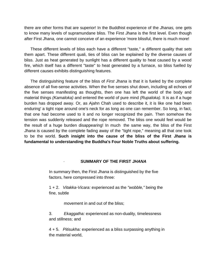there are other forms that are superior! In the Buddhist experience of the *Jhanas,* one gets to know many levels of supramundane bliss. The First *Jhana* is the first level. Even though after First *Jhana,* one cannot conceive of an experience 'more blissful, there is much more!

These different levels of bliss each have a different "taste," a different quality that *sets*  them apart. These different quali, ties of bliss can be explained by the diverse causes of bliss. Just as heat generated by sunlight has a different quality to heat caused by a wood fire, which itself has a different "taste" to heat generated by a furnace, so bliss fuelled by different causes exhibits distinguishing features.

The distinguishing feature of the bliss of *First Jhana* is that it is fueled by the complete absence of all five-sense activities. When the five senses shut down, including all echoes of the five senses manifesting as thoughts, then one has left the world of the body and material things *(Kamaloka)* and entered the world of pure mind *(Rupaloka).* It is as if a huge burden has dropped away. Or, as Ajahn Chah used to describe it, it is like one had been enduring' a tight rope around one's neck for as long as one can remember. So long, in fact, that one had become used to it and no longer recognized the pain. Then somehow the tension was suddenly released and the rope removed. The bliss one would feel would be the result of a huge burden disappearing! In much the same way, the bliss of the First *Jhana* is caused by the complete fading away of the "tight rope," meaning all that one took to be the world. **Such insight into the cause of the bliss of the First** *Jhana* **is fundamental to understanding the Buddha's Four Noble Truths about suffering.** 

### · **SUMMARY OF THE FIRST** *JHANA*

In summary then, the First *Jhana* is distinguished by the five factors, here compressed into three:

1 + 2. *Vitakka-Vicara:* experienced as the *"wobble,"* being the fine, subtle

movement in and out of the bliss;

3. *Ekaggatha:* experienced as non-duality, timelessness and stillness; and

4 + 5. *Pitisukha:* experienced as a bliss surpassing anything in the material world,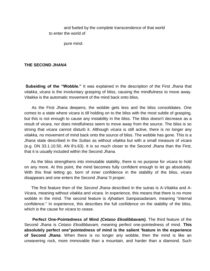and fueled by the complete transcendence of that world to enter the world of

pure mind.

#### **THE SECOND** *JHANA*

**Subsiding of the "Wobble."** It was explained in the description of the First *Jhana* that *vitakka\_vicara* is the involuntary grasping of bliss, causing the mindfulness to move away. *Vitakka* is the automatic movement of the mind back onto bliss.

As the First *Jhana* deepens, the wobble gets less and the bliss consolidates. One comes to a state where *vicara* is till holding on to the bliss with the most subtle of grasping, but this is not enough to cause any instability in the bliss. The bliss doesn't decrease as a result of *vicara,* nor does mindfulness seem to move away from the source. The bliss is so strong that *vicara* cannot disturb it. Although *vicara* is still active, there is no longer any *vitakka,* no movement of mind back onto the source of bliss. The wobble has gone. This is a *Jhana* state described in the *Suttas* as without *vitakka* but with a small measure of *vicara*  (e.g. DN 33.1.10.50, AN 8's.63). It is so much closer to the Second *Jhana* than the First, that it is usually included within the Second *Jhana.*

As the bliss strengthens into immutable stability, there is no purpose for *vicara* to hold on any more. At this point, the mind becomes fully confident enough to let go absolutely. With this final letting go, born of inner confidence in the stability of the bliss, *vicara*  disappears and one enters the Second *Jhana* 'II proper.

The first feature then of the *Second Jhana* described in the sutras is A-*Vitakka* and A-*Vicara,* meaning without *vitakka* and *vicara.* In experience, this means that there is no more wobble in the mind. The second feature is *Ajhattam Sampasadanam,* meaning "internal confidence." In experience, this describes the full confidence on the stability of the bliss, which is the cause for *vicara* to cease.

**Perfect One-Pointedness of Mind** *(Cetaso Ekodibbavam).* The third feature of the Second *Jhana* is *Cetaso Ekodibbavam,* meaning perfect one-pointedness of mind. **This absolutely perfect one"pointedness of mind is the salient 'feature in the experience of Second** *Jhana.* When there is no longer any wobble, then the mind is like an unwavering rock, more immovable than a mountain, and harder than a diamond. Such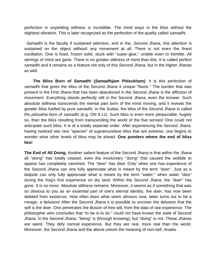perfection in unyielding stillness is incredible. The mind stays in the bliss without the slightest vibration. This is later recognized as the perfection of the quality called *samadhi.* 

*Samadhi* is the faculty if sustained attention, and in the, *Second Jhana,* this attention is sustained on the object without! any movement at all. There is not even the finest oscillation. One is fixed, frozen solid, stuck with "super-glue," unable even to tremble. All stirrings of mind are gone. There is no greater stillness of mind than this. It is called perfect *samadhi* and it remains as a feature not only of this *Second Jhana,* but in the higher *Jhanas*  as well.

**The Bliss Born of** *Samadhi* **(***Samadhijam Pitisukham).* It is this perfection of *samadhi* that gives the bliss of the Second *Jhana* it unique "flavor." The burden that was present in the First *Jhana* that has been abandoned in the Second *Jhana* is the affliction of movement. Everything stands perfectly still in the Second *Jhana,* even the knower. Such absolute stillness transcends the mental pain born of the mind moving, and it reveals the greater bliss fuelled by pure *samadhi.* In the *Suttas,* the bliss of the Second *Jhana* is called the *pitisukha* born of *samadhi* (e.g. ON 9.11). Such bliss is even more pleasurable, hugely so, than the bliss resulting from transcending the world of the five senses! One could not anticipate such bliss. It is of a totally separate order. After experiencing the Second *Jhana,*  having realized two rare "species" of supramundane bliss that are extreme, one begins to wonder what other levels of bliss may lie ahead. **One ponders where the end of bliss lies!**

**The End of All Doing.** Another salient feature of the Second *Jhana* is that within the *Jhana*  all "doing" has totally ceased, even the involuntary "doing" that caused the wobble to appear has completely vanished. The "doer" has died. Only' when one has experience of the Second *Jhana* can one fully appreciate what is meant by the term "doer". Just as a tadpole can only fully appreciate what is meant by the term "water," when water "dies" during the frog's first experience on dry land. Within the *Second Jhana,* the "doer" has gone. It is no more. Absolute stillness remains. Moreover, it seems as if something that was so obvious to you as an essential part of one's eternal identity, the doer, has now been deleted from existence. How often does what seem obvious now, latter turns out to be a mirage, a delusion! After the Second *Jhana* it is possible to uncover the delusion that the self is the doer. One penetrates the illusion of free will, from the data of raw experience. The philosopher who concludes that "to be is to do," could not have known the state of Second *Jhana.* In the Second *Jhana,* "being" is (through knowing), but "doing" is not. These *Jhanas*  are weird. They defy normal experience. But they are real, more real than the world. Moreover, the Second *Jhana* and the above unlock the meaning of non-self, *Anatta.*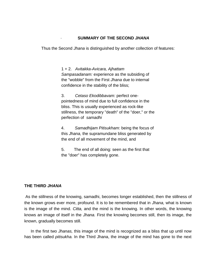## · **SUMMARY OF THE SECOND** *JHANA*

Thus the Second *Jhana* is distinguished by another collection of features:

1 + 2. *Avitakka-Avicara, Ajhattam Sampasadanam:* experience as the subsiding of the "wobble" from the First *Jhana* due to internal confidence in the stability of the bliss;

3. *Cetaso Ekodibbavam:* perfect onepointedness of mind due to full confidence in the bliss. This is usually experienced as rock-like stillness, the temporary "death" of the "doer," or the perfection of *samadhi*

4. *Samadhijam Pitisukham:* being the focus of this *Jhana,* the supramundane bliss generated by the end of all movement of the mind, and

5. The end of all doing: seen as the first that the "doer" has completely gone.

## **THE THIRD** *JHANA*

As the stillness of the knowing, samadhi, becomes longer established, then the stillness of the known grows ever more, profound. It is to be remembered that in *Jhana,* what is known is the image of the mind. *Citta,* and the mind is the knowing. In other words, the knowing knows an image of itself in the *Jhana.* First the knowing becomes still, then its image, the known, gradually becomes still.

In the first two *Jhanas,* this image of the mind is recognized as a bliss that up until now has been called *pitisukha.* In the Third Jhana, the image of the mind has gone to the next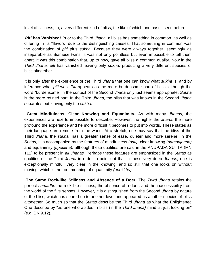level of stillness, to, a very different kind of bliss, the like of which one hasn't seen before.

**Piti has Vanished!** Prior to the Third *Jhana,* all bliss has something in common, as well as differing in its "flavors" due to the distinguishing causes. That something in common was the combination of *piti* plus *sukha.* Because they were always together, seemingly as inseparable as Siamese twins, it was not only pointless but even impossible to tell them apart. It was this combination that, up to now, gave all bliss a common quality. Now in the *Third Jhana, piti* has vanished leaving only *sukha,* producing a very different species of bliss altogether.

It is only after the experience of the Third *Jhana* that one can know what *sukha* is, and by inference what *piti* was. *Piti* appears as the more burdensome part of bliss, although the word "burdensome" in the context of the Second *Jhana* only just seems appropriate. *Sukha*  is the more refined part. In the Third *Jhana,* the bliss that was known in the Second *Jhana*  separates out leaving only the *sukha.*

**Great Mindfulness, Clear Knowing and Equanimity.** As with many *Jhanas,* the experiences are next to impossible to describe. However, the higher the *Jhana,* the more profound the experience and he more difficult it becomes to put into words. These states as their language are remote from the world. At a stretch, one may say that the bliss of the Third *Jhana,* the *sukha,* has a greater sense of ease, quieter and more serene. In the *Suttas,* it is accompanied by the features of mindfulness *(sati),* clear knowing *(sampajanna)*  and equanimity *(upekkha),* although these qualities are said in the ANUPADA SUTTA (MN 111) to be present in *all Jhanas.* Perhaps these features are emphasized in the *Suttas* as qualities of the Third *Jhana* in order to point out that in these very deep *Jhanas,* one is exceptionally mindful, very clear in the knowing, and so still that one looks on without moving, which is the root meaning of equanimity *(upekkha).*

**The Same Rock-like Stillness and Absence of a Doer.** The *Third Jhana* retains the perfect *samadhi,* the rock-like stillness, the absence of a doer, and the inaccessibility from the world of the five senses. However, it is distinguished from the Second *Jhana* by nature of the bliss, which has soared up to another level and appeared as another species of bliss altogether. So much so that the *Suttas* describe the Third *Jhana* as what the Enlightened One describe by "as one who abides in bliss (in the *Third Jhana)* mindful, just looking on" (e.g. DN 9.12).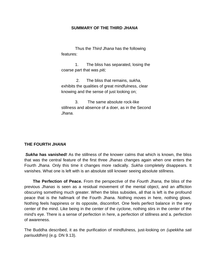### **SUMMARY OF THE THIRD** *JHANA*

Thus the *Third Jhana* has the following features:

1. The bliss has separated, losing the coarse part that was *piti;*

2. The bliss that remains, *sukha,*  exhibits the qualities of great mindfulness, clear knowing and the sense of just looking on;

3. The same absolute rock-like stillness and absence of a doer, as in the Second *Jhana.*

### **THE FOURTH** *JHANA*

*Sukha* **has vanished!** As the stillness of the knower calms that which is known, the bliss that was the central feature of the first three *Jhanas* changes again when one enters the Fourth *Jhana.* Only this time it changes more radically. *Sukha* completely disappears. It vanishes. What one is left with is an absolute still knower seeing absolute stillness.

**The Perfection of Peace.** From the perspective of the *Fourth Jhana,* the bliss of the previous *Jhanas* is seen as a residual movement of the mental object, and an affliction obscuring something much greater. When the bliss subsides, all that is left is the profound peace that is the hallmark of the Fourth Jhana. Nothing moves in here, nothing glows. Nothing feels happiness or its opposite, discomfort. One feels perfect balance in the very center of the mind. Like being in the center of the cyclone, nothing stirs in the center of the mind's eye. There is a sense of perfection in here, a perfection of stillness and a. perfection of awareness.

The Buddha described, it as the purification of mindfulness, just-looking on *(upekkha sati parisuddhim)* (e.g. DN 9.13).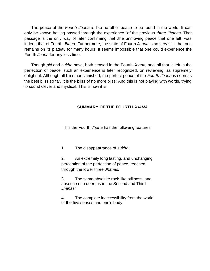The peace of the *Fourth Jhana* is like no other peace to be found in the world. It can only be known having passed through the experience "of the previous *three Jhanas.* That passage is the only way of later confirming that ,the unmoving peace that one felt, was indeed that of Fourth *Jhana.* Furthermore, the state of Fourth *Jhana* is so very still, that one remains on its plateau for many hours. It seems impossible that one could experience the Fourth *Jhana* for any less time.

Though *piti* and *sukha* have, both ceased in the Fourth *Jhana,* and' all that is left is the perfection of peace, such an experience is later recognized, on reviewing, as supremely delightful. Although all bliss has vanished, the perfect peace of the *Fourth Jhana* is seen as the best bliss so far. It is the bliss of no more bliss! And this is not playing with words, trying to sound clever and mystical. This is how it is.

### **SUMMARY OF THE FOURTH** *JHANA*

This the Fourth *Jhana* has the following features:

1. The disappearrance of *sukha;*

2. An extremely long lasting, and unchanging, perception of the perfection of peace, reached through the lower three *Jhanas;*

3. The same absolute rock-like stillness, and absence of a doer, as in the Second and Third *Jhanas;*

4. The complete inaccessibility from the world of the five senses and one's body.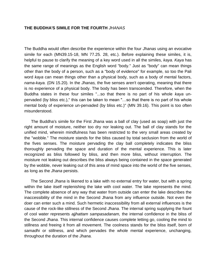### **THE BUDDHA'S SIMILE FOR THE FOURTH** *JHANAS*

The Buddha would often describe the experience within the four *Jhanas* using an evocative simile for each (MN39.15-18, MN 77.25. 28, etc.). Before explaining these similes, it is, helpful to pause to clarify the meaning of a key word used in all the similes, *kaya. Kaya* has the same range of meanings as the English word "body." Just as "body" can mean things other than the body of a person, such as a "body of evidence" for example, so too the Pali word *kaya* can mean things other than a physical body, such as a body of mental factors, *nama-kaya.* (DN 15.20). In the *Jhanas,* the five senses aren't operating, meaning that there is no experience of a physical body. The body has been transcended. Therefore, when the Buddha states in these four similes "...so that there is no part of his whole *kaya* unpervaded (by bliss etc.)," this can be taken to mean "…so that there is no part of his whole mental body of experience un-pervaded (by bliss etc.)" (MN 39.16). This point is too often misunderstood.

The Buddha's simile for the First Jhana was a ball of clay (used as soap) with just the right amount of moisture, neither too dry nor leaking out. The ball of clay stands for the unified mind, wherein mindfulness has been restricted to the very small areas created by the "wobble." The moisture stands for the bliss caused by total seclusion from the world of the fives senses. The moisture pervading the clay ball completely indicates the bliss thoroughly pervading the space and duration of the mental experience. This is later recognized as bliss followed by bliss, and then more bliss, without interruption. The moisture not leaking out describes the bliss always being contained in the space generated by the wobble, never leaking out of this area of mind space into the world of the five senses, as long as the *Jhana* persists.

The Second *Jhana* is likened to a lake with no external entry for water, but with a spring within the lake itself replenishing the lake with cool water. The lake represents the mind. The complete absence of any way that water from outside can enter the lake describes the inaccessibility of the mind in the Second Jhana from any influence outside. Not even the doer can enter such a mind. Such hermetic inaccessibility from all external influences is the cause of the rock-like stillness of the Second *Jhana.* The internal spring supplying the fount of cool water represents *ajjhattam sampasadanam,* the internal confidence in the bliss of the Second *Jhana.* This internal confidence causes complete letting go, cooling the mind to stillness and freeing it from all movement. The coolness stands for the bliss itself, born of *samadhi* or stillness, and which pervades the whole mental experience, unchanging, throughout the duration of the *Jhana.*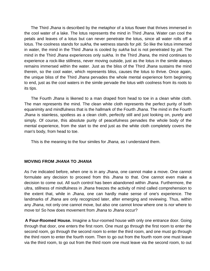The Third *Jhana* is described by the metaphor of a lotus flower that thrives immersed in the cool water of a lake. The lotus represents the mind in Third *Jhana*. Water can cool the petals and leaves of a lotus but can never penetrate the lotus, since all water rolls off a lotus. The coolness stands for *sukha,* the wetness stands for *piti.* So like the lotus immersed in water, the mind in the Third *Jhana* is cooled by *sukha* but is not penetrated by *piti.* The mind in the Third *Jhana* experiences only *sukha.* In the Third *Jhana,* the mind continues to experience a rock-like stillness, never moving outside, just as the lotus in the simile always remains immersed within the water. Just as the bliss of the Third *Jhana* sustains the mind therein, so the cool water, which represents bliss, causes the lotus to thrive. Once again, the unique bliss of the Third *Jhana* pervades the whole mental experience form beginning to end, just as the cool waters in the simile pervade the lotus with coolness from its roots to its tips.

The Fourth *Jhana* is likened to a man draped from head to toe in a clean white cloth. The man represents the mind. The clean white cloth represents the perfect purity of both equanimity and mindfulness that is the hallmark of the Fourth *Jhana.* The mind in the Fourth *Jhana* is stainless, spotless as a clean cloth, perfectly still and just looking on, purely and simply. Of course, this absolute purity of peacefulness pervades the whole body of the mental experience, from the start to the end just as the white cloth completely covers the man's body, from head to toe.

This is the meaning to the four similes for *Jhana,* as I understand them.

## **MOVING FROM** *JHANA* **TO** *JHANA*

As I've indicated before, when one is in any *Jhana,* one cannot make a move. One cannot formulate any decision to proceed from this *Jhana* to that. One cannot even make a decision to come out. All such control has been abandoned within *Jhana.* Furthermore, the ultra, stillness of mindfulness in *Jhana* freezes the activity of mind called comprehension to the extent that, while in *Jhana,* one can hardly make sense of one's experience. The landmarks of *Jhana* are only recognized later, after emerging and reviewing. Thus, within any *Jhana*, not only one cannot move, but also one cannot know where one is nor where to move to! So how does movement from *Jhana* to *Jhana* occur?

**A Four-Roomed House.** Imagine a four-roomed house with only one entrance door. Going through that door, one enters the first room. One must go through the first room to enter the second room, go through the second room to enter the third room, and one must go through the third room to enter the fourth room. Then to go out from the fourth room one must leave via the third room, to go out from the third room one must leave via the second room, to out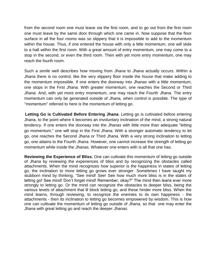from the second room one must leave via the first room, and to go out from the first room one must leave by the same door through which one came in. Now suppose that the floor surface in all the four rooms was so slippery that it is impossible to add to the momentum within the house. Thus, if one entered the house with only a little momentum, one will slide to a halt within the first room. With a great amount of entry momentum, one may come to a stop in the second, or even the third room. Then with yet more entry momentum, one may reach the fourth room.

Such a simile well describes how moving from *Jhana* to *Jhana* actually occurs. Within a *Jhana* there is no control, like the very slippery floor inside the *house* that make adding to the momentum impossible. If one enters the doorway into *Jhanas* with a little momentum, one stops in the First *Jhana.* With greater momentum, one reaches the Second or Third *Jhana.* And, with yet more entry momentum, one may reach the Fourth *Jhana.* The entry momentum can only be generated outside of *Jhana,* when control is possible. The type of "momentum" referred to here is the momentum of letting go.

**Letting Go is Cultivated Before Entering Jhana**. Letting go is cultivated before entering Jhana, to the point where it becomes an involuntary inclination of the mind, a strong natural tendency. If one enters the doorway into the *Jhanas* with little more than adequate "letting go momentum," one will stop in the First *Jhana.* With a stronger automatic tendency to let go, one reaches the Second *Jhana or* Third *Jhana.* With a very strong inclination to letting go, one attains to the Fourth *Jhana.* However, one cannot increase the strength of letting go momentum while inside the *Jhanas.* Whatever one enters with is all that one has.

**Reviewing the Experience of Bliss.** One can cultivate this momentum of letting go outside of *Jhana* by reviewing the experiences of bliss and by recognizing the obstacles called attachments. When the mind recognizes how superior is the happiness in states of letting go, the inclination to more letting go grows ever stronger. Sometimes I have taught my stubborn mind by thinking, "See mind! See! See how much more bliss is in the states of letting go! See mind! Don't forget mind! Remember, okay?" The mind then leans ever more strongly to letting go. Or the mind can recognize the obstacles to deeper bliss, being the various levels of attachment that ill block letting go, and these hinder more bliss. When the mind learns, through reviewing, to recognize the enemies to its own happiness - the attachments - then its inclination to letting go becomes empowered by wisdom. This is how one can cultivate the momentum of letting go outside of *Jhana,* so that one may enter the *Jhana* with great letting go and reach the deeper *Jhanas.*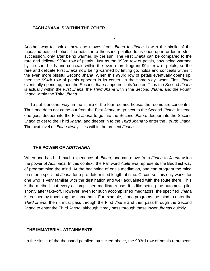### **EACH** *JHANA* **IS WITHIN THE OTHER**

Another way to look at how one moves from *Jhana* to *Jhana* is with the simile of the thousand-petalled lotus. The petals in a thousand-petalled lotus open up in order, in strict succession, only after being warmed by the sun. The First *Jhana* can be compared to the rare and delicate 993rd row of petals. Just as the 993rd row of petals, now being warmed by the sun, holds and conceals within the even more fragrant 994<sup>th</sup> row of petals, so the rare and delicate First *Jhana* now being warmed by letting go, holds and conceals within it the even more blissful Second Jhana. When this 993rd row of petals eventually opens up, then the 994th row of petals appears in its center. In the same way, when First *Jhana*  eventually opens up, then the Second *Jhana* appears in its 'center. Thus the Second *Jhana*  is actually within the *First Jhana,* the *Third Jhana* within the Second *Jhana,* and the Fourth *Jhana* within the Third *Jhana.*

.

To put it another way, in the simile of the four-roomed house, the rooms are concentric. Thus one does not come out from the First *Jhana* to go next to the Second *Jhana.* Instead, one goes deeper into the First *Jhana* to go into the Second *Jhana,* deeper into the Second *Jhana* to get to the Third *Jhana,* and deeper in to the *Third Jhana* to enter the *Fourth Jhana.*  The next level of *Jhana* always lies within the present *Jhana.*

### **THE POWER OF** *ADITTHANA*

When one has had much experience of *Jhana,* one can move from *Jhana* to *Jhana* using the power of *Aditthana.* In this context, the Pali word *Aditthana* represents the Buddhist way of programming the mind. At the beginning of one's meditation, one can program the mind to enter a specified *Jhana* for a pre-determined length of time. Of course, this only works for one who is very familiar with the destination and well acquainted with the route there. This is the method that every accomplished meditators use. It is like setting the automatic pilot shortly after take-off. However, even for such accomplished meditators, the specified *Jhana*  is reached by traversing the same path. For example, if one programs the mind to enter the *Third Jhana,* then it must pass through the First *Jhana* and then pass through the Second *Jhana* to enter the Third *Jhana,* although it may pass through these lower *Jhanas* quickly.

### **THE IMMATERIAL ATTAINMENTS**

In the simile of the thousand petalled lotus cited above, the 993rd row of petals represents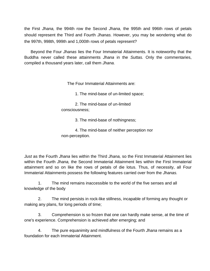the First *Jhana,* the 994th row the Second *Jhana,* the 995th and 996th rows of petals should represent the Third and Fourth *Jhanas.* However, you may be wondering what do the 997th, 998th, 999th and 1,000th rows of petals represent?

Beyond the Four *Jhanas* lies the Four Immaterial Attainments. It is noteworthy that the Buddha never called these attainments *Jhana* in the *Suttas.* Only the commentaries, compiled a thousand years later, call them *Jhana.*

The Four Immaterial Attainments are:

1. The mind-base of un-limited space;

2. The mind-base of un-limited consciousness;

3. The mind-base of nothingness;

4. The mind-base of neither perception nor non-perception.

*Just* as the Fourth *Jhana* lies within the Third *Jhana,* so the First Immaterial Attainment lies within the Fourth *Jhana,* the Second Immaterial Attainment lies within the First Immaterial attainment and so on like the rows of petals of die lotus. Thus, of necessity, all Four Immaterial Attainments possess the following features carried over from the *Jhanas.*

1. The mind remains inaccessible to the world of the five senses and all knowledge of the body

2. The mind persists in rock-like stillness, incapable of forming any thought or making any plans, for long periods of time;

3. Comprehension is so frozen that one can hardly make sense, at the time of one's experience. Comprehension is achieved after emerging; and

4. The pure equanimity and mindfulness of the Fourth *Jhana* remains as a foundation for each Immaterial Attainment.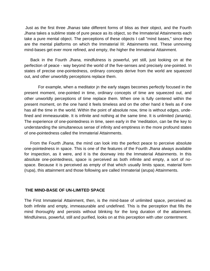Just as the first three *Jhanas* take different forms of bliss as their object, and the Fourth *Jhana* takes a sublime state of pure peace as its object, so the Immaterial Attainments each take a pure mental object. The perceptions of these objects I call "mind bases," since they are the mental platforms on which the Immaterial III: Attainments rest. These unmoving mind-bases get ever more refined, and empty, the higher the Immaterial Attainment.

Back in the Fourth *Jhana,* mindfulness is powerful, yet still, just looking on at the perfection of peace - way beyond the world of the five-senses and precisely one-pointed. In states of precise one-pointedness, ordinary concepts derive from the world are squeezed out, and other unworldly perceptions replace them.

For example, when a meditator jn the early stages becomes perfectly focused in the present moment, one-pointed in time, ordinary concepts of time are squeezed out, and other unworldly perceptions of time replace them. When one is fully centered within the present moment, on the one hand it feels timeless and on the other hand it feels as if one has all the time in the world. Within the point of absolute now, time is without edges, undefined and immeasurable. It is infinite and nothing at the same time. It is unlimited *(ananta),*  The experience of one-pointedness in time, seen early in the 'meditation, can be the key to understanding the simultaneous sense of infinity and emptiness in the more profound states of one-pointedness called the Immaterial Attainments.

From the Fourth *Jhana,* the mind can look into the perfect peace to perceive absolute one-pointedness in space. This is one of the features of the Fourth *Jhana* always available for inspection, as it were, and it is the doorway into the Immaterial Attainments. In this absolute one-pointedness, space is perceived as both infinite and empty, a sort of nospace. Because it is perceived as empty of that which usually limits space, material form (rupa), this attainment and those following are called Immaterial (arupa) Attainments.

### **THE MIND-BASE OF UN-LIMITED SPACE**

The First Immaterial Attainment, then, is the mind-base of unlimited space, perceived as both infinite and empty, immeasurable and undefined. This is the perception that fills the mind thoroughly and persists without blinking for the long duration of the attainment. Mindfulness, powerful, still and purified, looks on at this perception with utter contentment.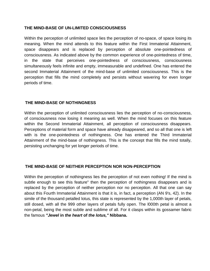## **THE MIND-BASE OF UN-LIMITED CONSCIOUSNESS**

Within the perception of unlimited space lies the perception of no-space, of space losing its meaning. When the mind attends to this feature within the First Immaterial Attainment, space disappears and is replaced by perception of absolute one-pointedness of consciousness. As indicated above by the common experience of one-pointedness of time, in the state that perceives one-pointedness of consciousness, consciousness simultaneously feels infinite and empty, immeasurable and undefined. One has entered the second Immaterial Attainment of the mind-base of unlimited consciousness. This is the perception that fills the mind completely and persists without wavering for even longer periods of time.

## **THE MIND-BASE OF NOTHINGNESS**

Within the perception of unlimited consciousness lies the perception of no-consciousness, of consciousness now losing it meaning as well. When the mind focuses on this feature within the Second Immaterial Attainment, all perception of consciousness disappears. Perceptions of material form and space have already disappeared, and so all that one is left with is the one-pointedness of nothingness. One has entered the Third Immaterial Attainment of the mind-base of nothingness. This is the concept that fills the mind totally, persisting unchanging for yet longer periods of time.

## **THE MIND-BASE OF NEITHER PERCEPTION NOR NON-PERCEPTION**

Within the perception of nothingness lies the perception of not even nothing! If the mind is subtle enough to see this feature" then the perception of nothingness disappears and is replaced by the perception of neither perception nor no perception. All that one can say about this Fourth Immaterial Attainment is that it is, in fact, a perception (AN 9's, 42). In the simile of the thousand petalled lotus, this state is represented by the 1,000th layer of petals, still dosed, with all the 999 other layers of petals fully open. The l000th petal is almost a non-petal, being the most subtle and sublime of all. For it clasps within its gossamer fabric the famous *"Jewel* **in** *the heart* **of** *the lotus,"* **Nibbana.**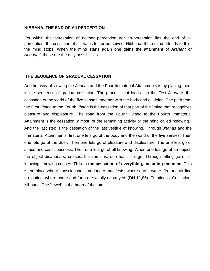### **NIBBANA, THE END OF All PERCEPTION**

For within the perception of neither perception nor no-perception lies the end of all perception, the cessation of all that is felt or perceived, Nibbana. If the mind attends to this, the mind stops. When the mind starts again one gains the attainment of *Arahant* or *Anagami,* these are the only possibilities.

## **THE SEQUENCE OF GRADUAL CESSATION**

Another way of viewing the *Jhanas* and the Four Immaterial Attainments is by placing them in the sequence of gradual cessation. The process that leads into the First *Jhana* is the cessation of the world of the five senses together with the body and all doing. The path from the First *Jhana* to the Fourth *Jhana* is the cessation of that part of the "mind that recognizes pleasure and displeasure. The road from the Fourth *Jhana* to the Fourth Immaterial Attainment is the cessation, almost, of the remaining activity or the mind called "knowing." And the last step is the cessation of the last vestige of knowing. Through *Jhanas* and the Immaterial Attainments, first one lets go of the body and the world of the five senses. Then one lets go of the doer. Then one lets go of pleasure and displeasure. The one lets go of space and consciousness. Then one lets go of all knowing. When one lets go of an object, the object disappears, ceases. If it remains, one hasn't let go. Through letting go of all knowing, knowing ceases. **This is the cessation of everything, including the mind.** This is the place where consciousness no longer manifests, where earth, water, fire and air find no footing, where name-and-form are wholly destroyed, (DN 11,85). Emptiness. Cessation. Nibbana, The "jewel" in the heart of the lotus.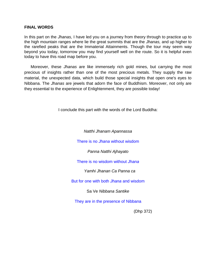### **FINAL WORDS**

In this part on the *Jhanas,* I have led you on a journey from theory through to practice up to the high mountain ranges where lie the great summits that are the *Jhanas,* and up higher to the rarefied peaks that are the Immaterial Attainments. Though the tour may seem way beyond you today, tomorrow you may find yourself well on the route. So it is helpful even today to have this road map before you.

Moreover, these *Jhanas* are like immensely rich gold mines, but carrying the most precious of insights rather than one of the most precious metals. They supply the raw material, the unexpected data, which build those special insights that open one's eyes to Nibbana. The *Jhanas* are jewels that adorn the face of Buddhism. Moreover, not only are they essential to the experience of Enlightenment, they are possible today!

I conclude this part with the words of the Lord Buddha:

*Natthi Jhanam Apannassa*

There is no *Jhana* without wisdom

*Panna Natthi Ajhayato*

There is no wisdom without *Jhana*

*Yamhi Jhanan Ca Panna ca*

But for one with both *Jhana* and wisdom

Sa Ve *Nibbana Santike*

They are in the presence of Nibbana

(Dhp 372)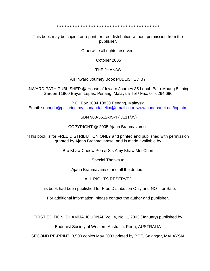#### \*\*\*\*\*\*\*\*\*\*\*\*\*\*\*\*\*\*\*\*\*\*\*\*\*\*\*\*\*\*\*\*\*\*\*\*\*\*\*\*\*\*\*\*\*\*\*\*\*\*\*\*\*\*\*\*\*\*\*\*\*\*\*\*

This book may be copied or reprint for free distribution without permission from the publisher.

Otherwise all rights reserved.

October 2005

## THE JHANAS

An Inward Journey Book PUBLISHED BY

INWARD PATH PUBLISHER @ House of Inward Journey 35 Lebuh Batu Maung 8, Iping Garden 11960 Bayan Lepas, Penang, Malaysia Tel / Fax: 04-6264 696

P.O. Box 1034,10830 Penang, Malaysia Email: [sunanda@pc.jaring.my.](mailto:sunanda@pc.jaring.my) [sunandahelim@gmail.com](mailto:sunandahelim@gmail.com) [www.buddhanet.net/ipp.htm](http://www.buddhanet.net/ipp.htm)

ISBN 983-3512-05-4 (IJ111/05)

## COPYRIGHT @ 2005 Ajahn Brahmavamso

"This book is for FREE DISTRIBUTION ONLY and printed and published with permission granted by Ajahn Brahmavamso; and is made available by

Bro Khaw Cheow Poh & Sis Amy Khaw Mei Chen

Special Thanks to

Ajahn Brahmavamso and all the donors.

## ALL RIGHTS RESERVED

This book had been published for Free Distribution Only and NOT for Sale.

For additional information, please contact the author and publisher.

FIRST EDITION: DHAMMA JOURNAL Vol. 4, No. 1, 2003 (January) published by

Buddhist Society of Western Australia, Perth, AUSTRALIA

SECOND RE-PRINT: 3,500 copies May 2003 printed by BGF, Selangor, MALAYSIA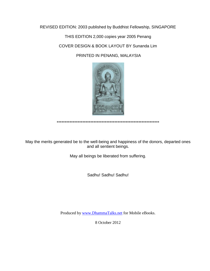REVISED EDITION: 2003 published by Buddhist Fellowship, SINGAPORE

THIS EDITION 2,000 copies year 2005 Penang

COVER DESIGN & BOOK LAYOUT BY Sunanda Lim

PRINTED IN PENANG, MALAYSIA



\*\*\*\*\*\*\*\*\*\*\*\*\*\*\*\*\*\*\*\*\*\*\*\*\*\*\*\*\*\*\*\*\*\*\*\*\*\*\*\*\*\*\*\*\*\*\*\*\*\*\*\*\*\*\*\*\*\*\*\*\*\*\*\*

May the merits generated be to the well-being and happiness of the donors, departed ones and all sentient beings.

May all beings be liberated from suffering.

Sadhu! Sadhu! Sadhu!

Produced by [www.DhammaTalks.net](http://www.dhammatalks.net/) for Mobile eBooks.

8 October 2012